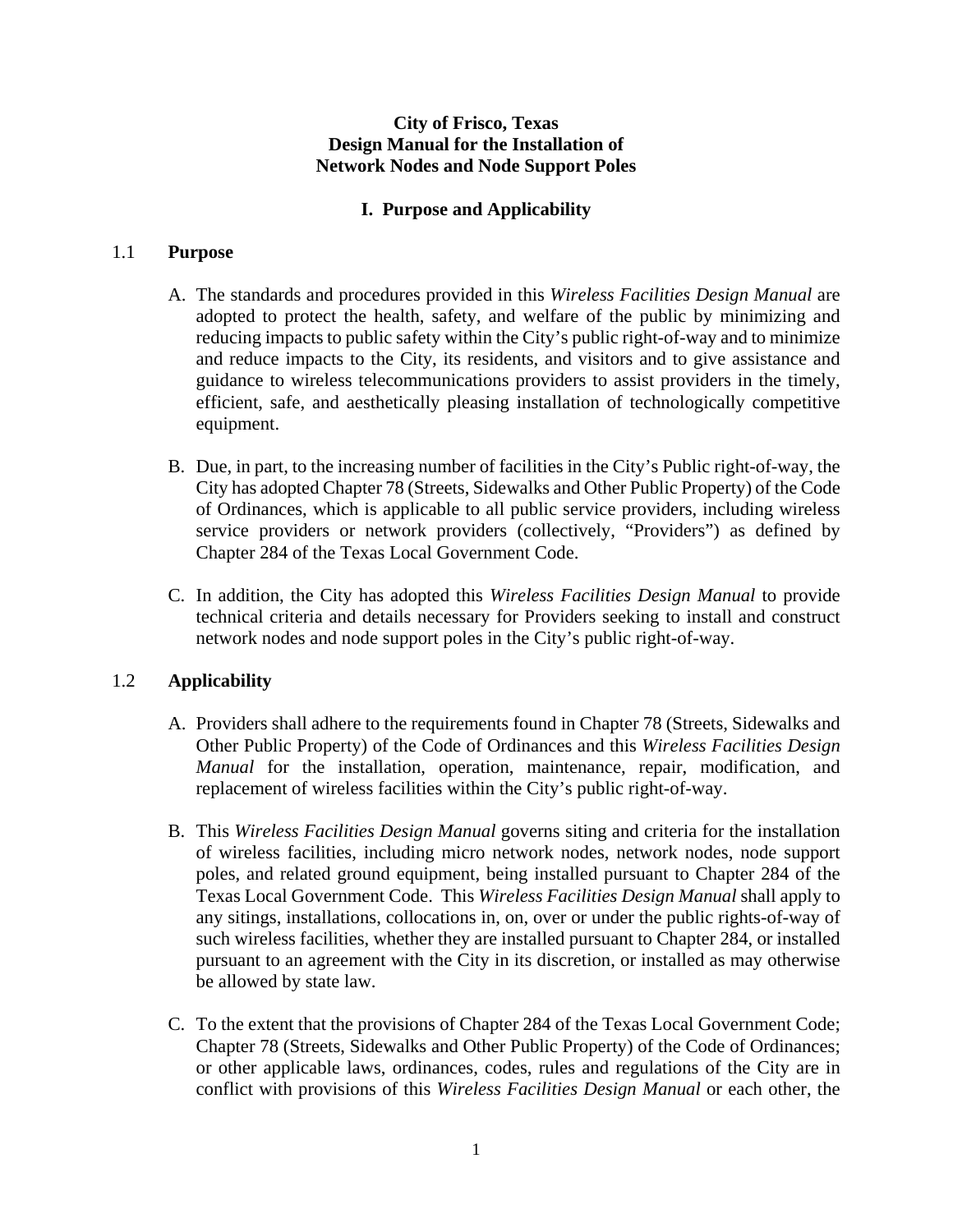## **City of Frisco, Texas Design Manual for the Installation of Network Nodes and Node Support Poles**

# **I. Purpose and Applicability**

### 1.1 **Purpose**

- A. The standards and procedures provided in this *Wireless Facilities Design Manual* are adopted to protect the health, safety, and welfare of the public by minimizing and reducing impacts to public safety within the City's public right-of-way and to minimize and reduce impacts to the City, its residents, and visitors and to give assistance and guidance to wireless telecommunications providers to assist providers in the timely, efficient, safe, and aesthetically pleasing installation of technologically competitive equipment.
- B. Due, in part, to the increasing number of facilities in the City's Public right-of-way, the City has adopted Chapter 78 (Streets, Sidewalks and Other Public Property) of the Code of Ordinances, which is applicable to all public service providers, including wireless service providers or network providers (collectively, "Providers") as defined by Chapter 284 of the Texas Local Government Code.
- C. In addition, the City has adopted this *Wireless Facilities Design Manual* to provide technical criteria and details necessary for Providers seeking to install and construct network nodes and node support poles in the City's public right-of-way.

# 1.2 **Applicability**

- A. Providers shall adhere to the requirements found in Chapter 78 (Streets, Sidewalks and Other Public Property) of the Code of Ordinances and this *Wireless Facilities Design Manual* for the installation, operation, maintenance, repair, modification, and replacement of wireless facilities within the City's public right-of-way.
- B. This *Wireless Facilities Design Manual* governs siting and criteria for the installation of wireless facilities, including micro network nodes, network nodes, node support poles, and related ground equipment, being installed pursuant to Chapter 284 of the Texas Local Government Code. This *Wireless Facilities Design Manual* shall apply to any sitings, installations, collocations in, on, over or under the public rights-of-way of such wireless facilities, whether they are installed pursuant to Chapter 284, or installed pursuant to an agreement with the City in its discretion, or installed as may otherwise be allowed by state law.
- C. To the extent that the provisions of Chapter 284 of the Texas Local Government Code; Chapter 78 (Streets, Sidewalks and Other Public Property) of the Code of Ordinances; or other applicable laws, ordinances, codes, rules and regulations of the City are in conflict with provisions of this *Wireless Facilities Design Manual* or each other, the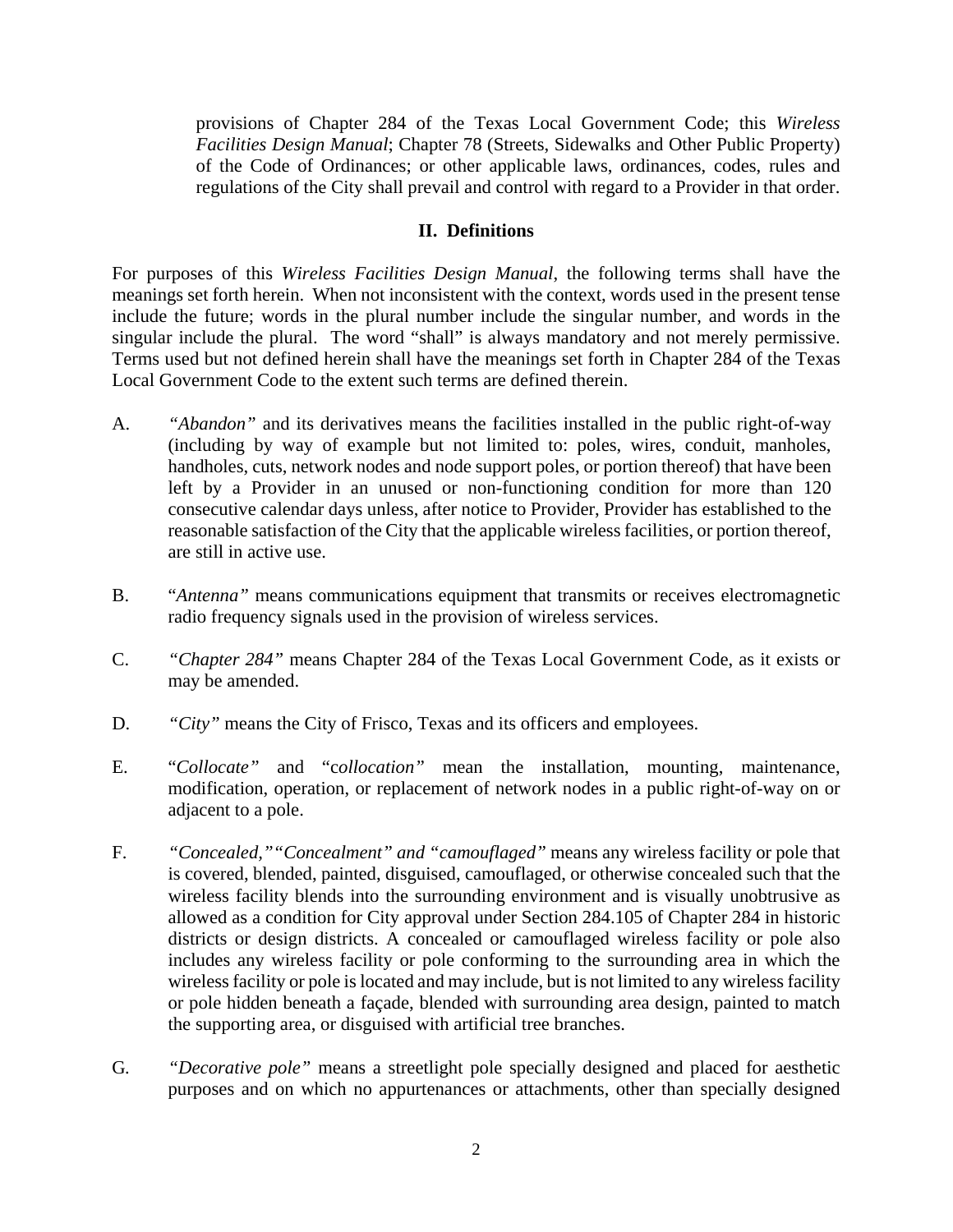provisions of Chapter 284 of the Texas Local Government Code; this *Wireless Facilities Design Manual*; Chapter 78 (Streets, Sidewalks and Other Public Property) of the Code of Ordinances; or other applicable laws, ordinances, codes, rules and regulations of the City shall prevail and control with regard to a Provider in that order.

#### **II. Definitions**

For purposes of this *Wireless Facilities Design Manual*, the following terms shall have the meanings set forth herein. When not inconsistent with the context, words used in the present tense include the future; words in the plural number include the singular number, and words in the singular include the plural. The word "shall" is always mandatory and not merely permissive. Terms used but not defined herein shall have the meanings set forth in Chapter 284 of the Texas Local Government Code to the extent such terms are defined therein.

- A. *"Abandon"* and its derivatives means the facilities installed in the public right-of-way (including by way of example but not limited to: poles, wires, conduit, manholes, handholes, cuts, network nodes and node support poles, or portion thereof) that have been left by a Provider in an unused or non-functioning condition for more than 120 consecutive calendar days unless, after notice to Provider, Provider has established to the reasonable satisfaction of the City that the applicable wireless facilities, or portion thereof, are still in active use.
- B. "*Antenna"* means communications equipment that transmits or receives electromagnetic radio frequency signals used in the provision of wireless services.
- C. *"Chapter 284"* means Chapter 284 of the Texas Local Government Code, as it exists or may be amended.
- D. *"City"* means the City of Frisco, Texas and its officers and employees.
- E. "*Collocate"* and "c*ollocation"* mean the installation, mounting, maintenance, modification, operation, or replacement of network nodes in a public right-of-way on or adjacent to a pole.
- F. *"Concealed,""Concealment" and "camouflaged"* means any wireless facility or pole that is covered, blended, painted, disguised, camouflaged, or otherwise concealed such that the wireless facility blends into the surrounding environment and is visually unobtrusive as allowed as a condition for City approval under Section 284.105 of Chapter 284 in historic districts or design districts. A concealed or camouflaged wireless facility or pole also includes any wireless facility or pole conforming to the surrounding area in which the wireless facility or pole is located and may include, but is not limited to any wireless facility or pole hidden beneath a façade, blended with surrounding area design, painted to match the supporting area, or disguised with artificial tree branches.
- G*. "Decorative pole"* means a streetlight pole specially designed and placed for aesthetic purposes and on which no appurtenances or attachments, other than specially designed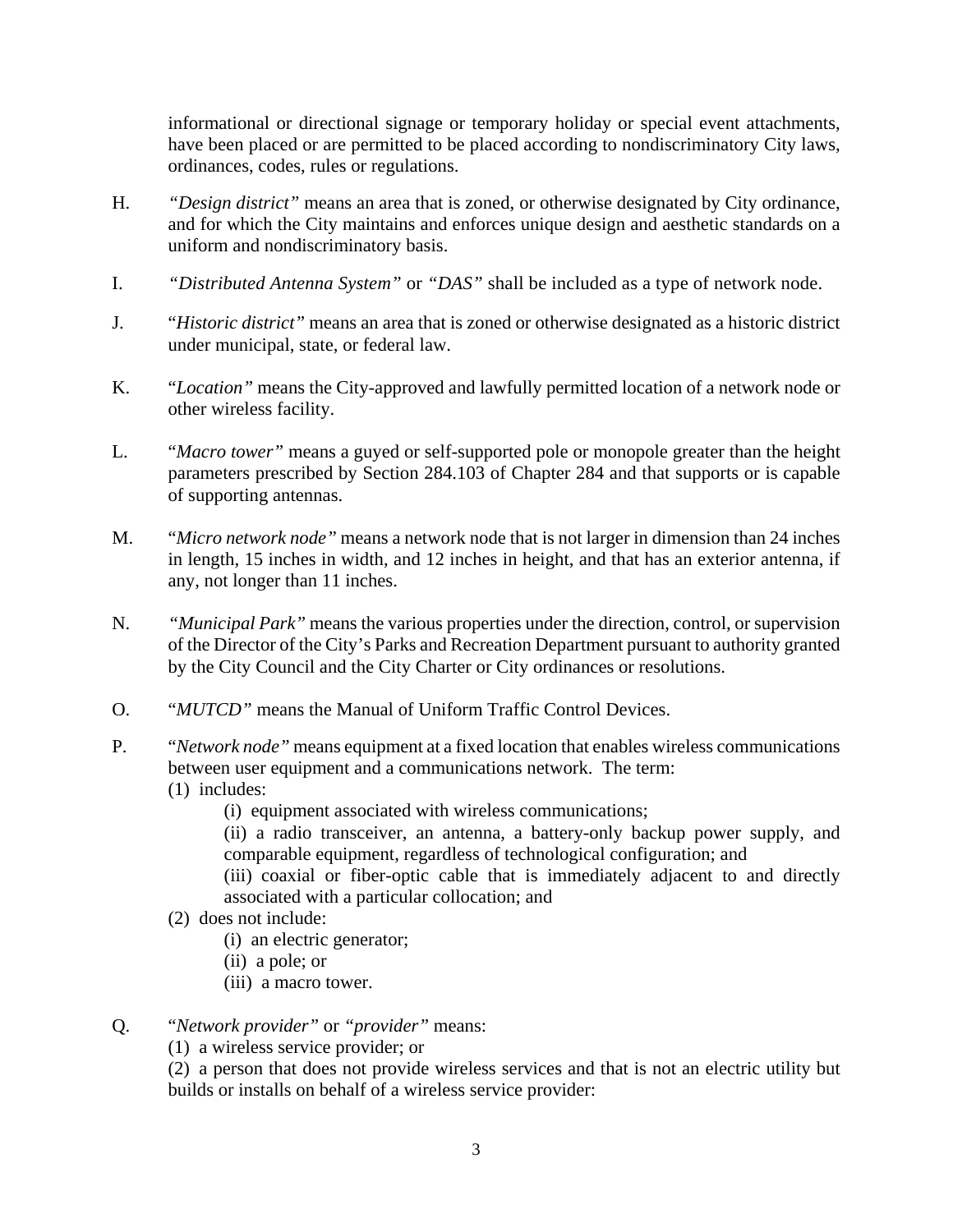informational or directional signage or temporary holiday or special event attachments, have been placed or are permitted to be placed according to nondiscriminatory City laws, ordinances, codes, rules or regulations.

- H. *"Design district"* means an area that is zoned, or otherwise designated by City ordinance, and for which the City maintains and enforces unique design and aesthetic standards on a uniform and nondiscriminatory basis.
- I. *"Distributed Antenna System"* or *"DAS"* shall be included as a type of network node.
- J. "*Historic district"* means an area that is zoned or otherwise designated as a historic district under municipal, state, or federal law.
- K. "*Location"* means the City-approved and lawfully permitted location of a network node or other wireless facility.
- L. "*Macro tower"* means a guyed or self-supported pole or monopole greater than the height parameters prescribed by Section 284.103 of Chapter 284 and that supports or is capable of supporting antennas.
- M. "*Micro network node"* means a network node that is not larger in dimension than 24 inches in length, 15 inches in width, and 12 inches in height, and that has an exterior antenna, if any, not longer than 11 inches.
- N. *"Municipal Park"* means the various properties under the direction, control, or supervision of the Director of the City's Parks and Recreation Department pursuant to authority granted by the City Council and the City Charter or City ordinances or resolutions.
- O. "*MUTCD"* means the Manual of Uniform Traffic Control Devices.
- P. "*Network node"* means equipment at a fixed location that enables wireless communications between user equipment and a communications network. The term:
	- (1) includes:
		- (i) equipment associated with wireless communications;
		- (ii) a radio transceiver, an antenna, a battery-only backup power supply, and comparable equipment, regardless of technological configuration; and
		- (iii) coaxial or fiber-optic cable that is immediately adjacent to and directly associated with a particular collocation; and
	- (2) does not include:
		- (i) an electric generator;
		- (ii) a pole; or
		- (iii) a macro tower.
- Q. "*Network provider"* or *"provider"* means:
	- (1) a wireless service provider; or

(2) a person that does not provide wireless services and that is not an electric utility but builds or installs on behalf of a wireless service provider: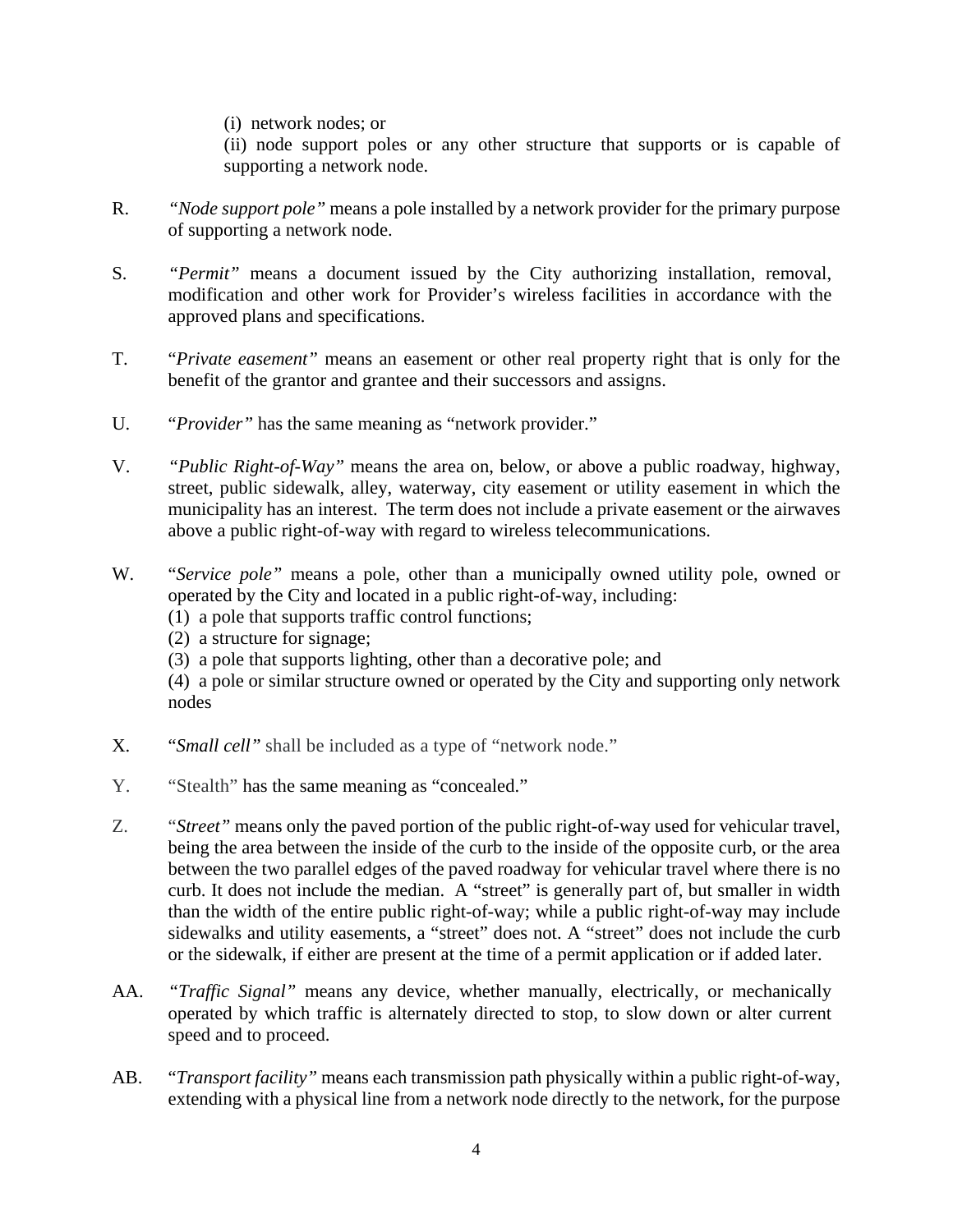(i) network nodes; or

(ii) node support poles or any other structure that supports or is capable of supporting a network node.

- R. *"Node support pole"* means a pole installed by a network provider for the primary purpose of supporting a network node.
- S. *"Permit"* means a document issued by the City authorizing installation, removal, modification and other work for Provider's wireless facilities in accordance with the approved plans and specifications.
- T. "*Private easement"* means an easement or other real property right that is only for the benefit of the grantor and grantee and their successors and assigns.
- U. "*Provider"* has the same meaning as "network provider."
- V. *"Public Right-of-Way"* means the area on, below, or above a public roadway, highway, street, public sidewalk, alley, waterway, city easement or utility easement in which the municipality has an interest. The term does not include a private easement or the airwaves above a public right-of-way with regard to wireless telecommunications.
- W. "*Service pole"* means a pole, other than a municipally owned utility pole, owned or operated by the City and located in a public right-of-way, including:
	- (1) a pole that supports traffic control functions;
	- (2) a structure for signage;
	- (3) a pole that supports lighting, other than a decorative pole; and

(4) a pole or similar structure owned or operated by the City and supporting only network nodes

- X. "*Small cell"* shall be included as a type of "network node."
- Y. "Stealth" has the same meaning as "concealed."
- Z. "*Street"* means only the paved portion of the public right-of-way used for vehicular travel, being the area between the inside of the curb to the inside of the opposite curb, or the area between the two parallel edges of the paved roadway for vehicular travel where there is no curb. It does not include the median. A "street" is generally part of, but smaller in width than the width of the entire public right-of-way; while a public right-of-way may include sidewalks and utility easements, a "street" does not. A "street" does not include the curb or the sidewalk, if either are present at the time of a permit application or if added later.
- AA. *"Traffic Signal"* means any device, whether manually, electrically, or mechanically operated by which traffic is alternately directed to stop, to slow down or alter current speed and to proceed.
- AB. "*Transport facility"* means each transmission path physically within a public right-of-way, extending with a physical line from a network node directly to the network, for the purpose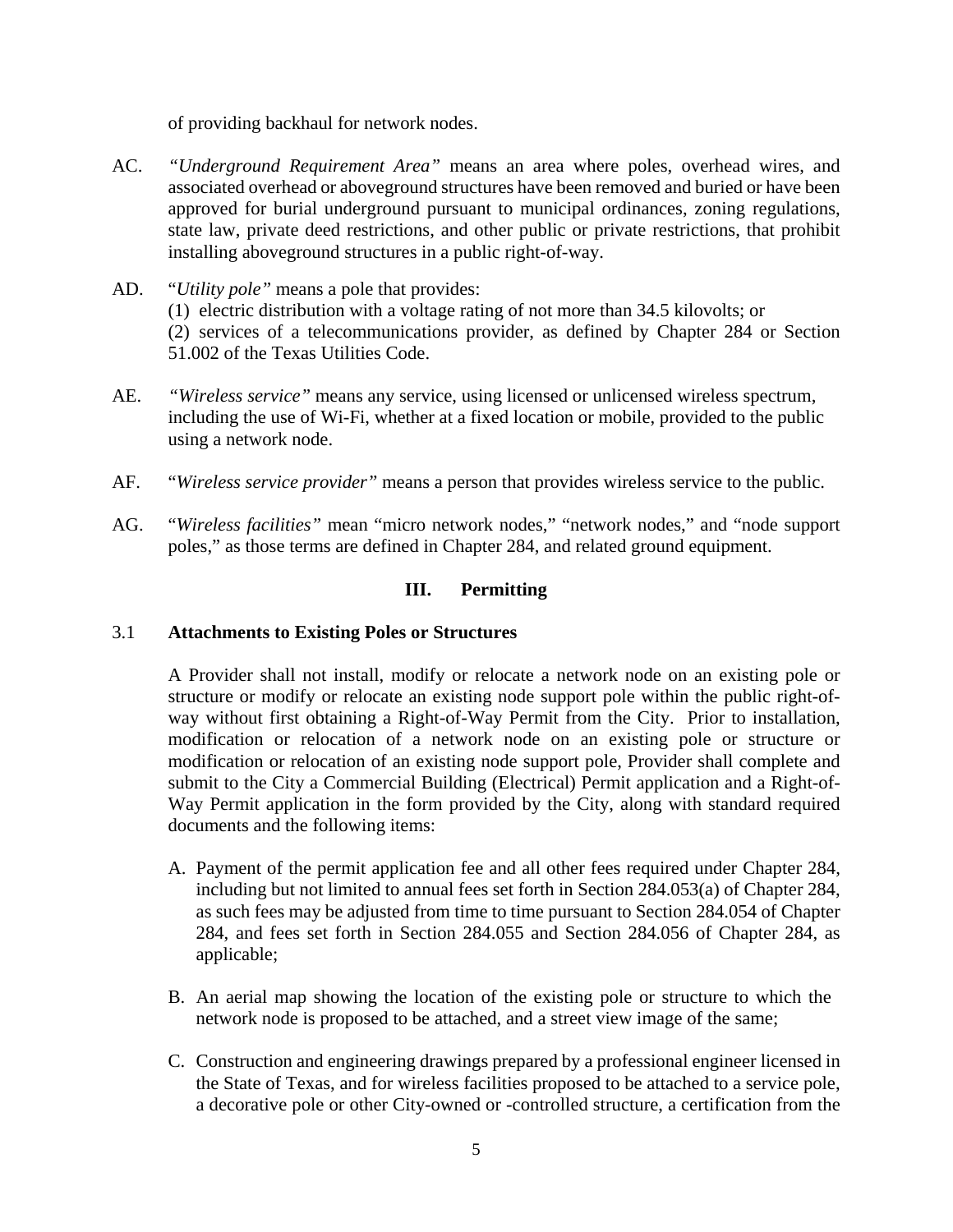of providing backhaul for network nodes.

- AC. *"Underground Requirement Area"* means an area where poles, overhead wires, and associated overhead or aboveground structures have been removed and buried or have been approved for burial underground pursuant to municipal ordinances, zoning regulations, state law, private deed restrictions, and other public or private restrictions, that prohibit installing aboveground structures in a public right-of-way.
- AD. "*Utility pole"* means a pole that provides: (1) electric distribution with a voltage rating of not more than 34.5 kilovolts; or (2) services of a telecommunications provider, as defined by Chapter 284 or Section 51.002 of the Texas Utilities Code.
- AE. *"Wireless service"* means any service, using licensed or unlicensed wireless spectrum, including the use of Wi-Fi, whether at a fixed location or mobile, provided to the public using a network node.
- AF. "*Wireless service provider"* means a person that provides wireless service to the public.
- AG. "*Wireless facilities"* mean "micro network nodes," "network nodes," and "node support poles," as those terms are defined in Chapter 284, and related ground equipment.

# **III. Permitting**

### 3.1 **Attachments to Existing Poles or Structures**

A Provider shall not install, modify or relocate a network node on an existing pole or structure or modify or relocate an existing node support pole within the public right-ofway without first obtaining a Right-of-Way Permit from the City. Prior to installation, modification or relocation of a network node on an existing pole or structure or modification or relocation of an existing node support pole, Provider shall complete and submit to the City a Commercial Building (Electrical) Permit application and a Right-of-Way Permit application in the form provided by the City, along with standard required documents and the following items:

- A. Payment of the permit application fee and all other fees required under Chapter 284, including but not limited to annual fees set forth in Section 284.053(a) of Chapter 284, as such fees may be adjusted from time to time pursuant to Section 284.054 of Chapter 284, and fees set forth in Section 284.055 and Section 284.056 of Chapter 284, as applicable;
- B. An aerial map showing the location of the existing pole or structure to which the network node is proposed to be attached, and a street view image of the same;
- C. Construction and engineering drawings prepared by a professional engineer licensed in the State of Texas, and for wireless facilities proposed to be attached to a service pole, a decorative pole or other City-owned or -controlled structure, a certification from the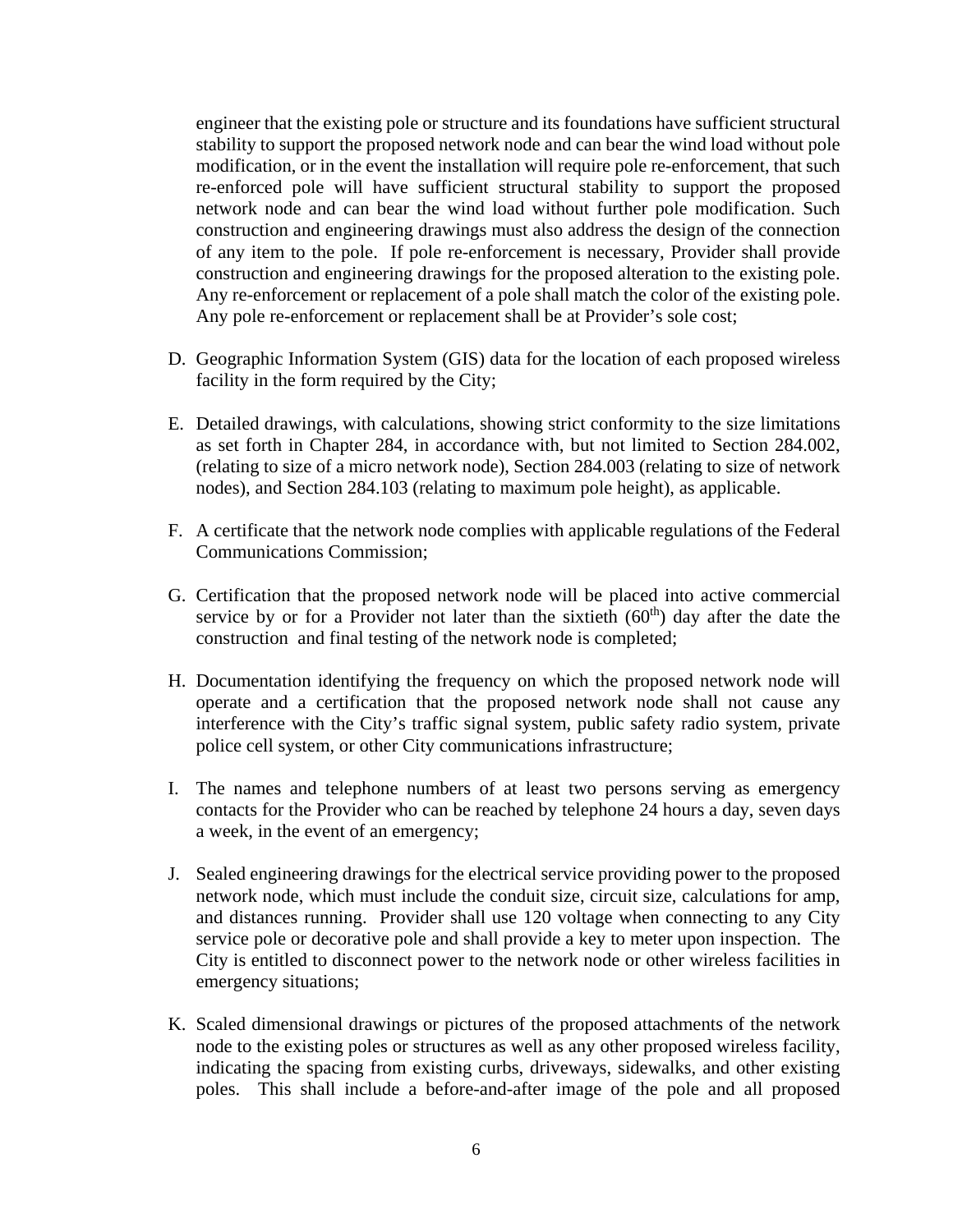engineer that the existing pole or structure and its foundations have sufficient structural stability to support the proposed network node and can bear the wind load without pole modification, or in the event the installation will require pole re-enforcement, that such re-enforced pole will have sufficient structural stability to support the proposed network node and can bear the wind load without further pole modification. Such construction and engineering drawings must also address the design of the connection of any item to the pole. If pole re-enforcement is necessary, Provider shall provide construction and engineering drawings for the proposed alteration to the existing pole. Any re-enforcement or replacement of a pole shall match the color of the existing pole. Any pole re-enforcement or replacement shall be at Provider's sole cost;

- D. Geographic Information System (GIS) data for the location of each proposed wireless facility in the form required by the City;
- E. Detailed drawings, with calculations, showing strict conformity to the size limitations as set forth in Chapter 284, in accordance with, but not limited to Section 284.002, (relating to size of a micro network node), Section 284.003 (relating to size of network nodes), and Section 284.103 (relating to maximum pole height), as applicable.
- F. A certificate that the network node complies with applicable regulations of the Federal Communications Commission;
- G. Certification that the proposed network node will be placed into active commercial service by or for a Provider not later than the sixtieth  $(60<sup>th</sup>)$  day after the date the construction and final testing of the network node is completed;
- H. Documentation identifying the frequency on which the proposed network node will operate and a certification that the proposed network node shall not cause any interference with the City's traffic signal system, public safety radio system, private police cell system, or other City communications infrastructure;
- I. The names and telephone numbers of at least two persons serving as emergency contacts for the Provider who can be reached by telephone 24 hours a day, seven days a week, in the event of an emergency;
- J. Sealed engineering drawings for the electrical service providing power to the proposed network node, which must include the conduit size, circuit size, calculations for amp, and distances running. Provider shall use 120 voltage when connecting to any City service pole or decorative pole and shall provide a key to meter upon inspection. The City is entitled to disconnect power to the network node or other wireless facilities in emergency situations;
- K. Scaled dimensional drawings or pictures of the proposed attachments of the network node to the existing poles or structures as well as any other proposed wireless facility, indicating the spacing from existing curbs, driveways, sidewalks, and other existing poles. This shall include a before-and-after image of the pole and all proposed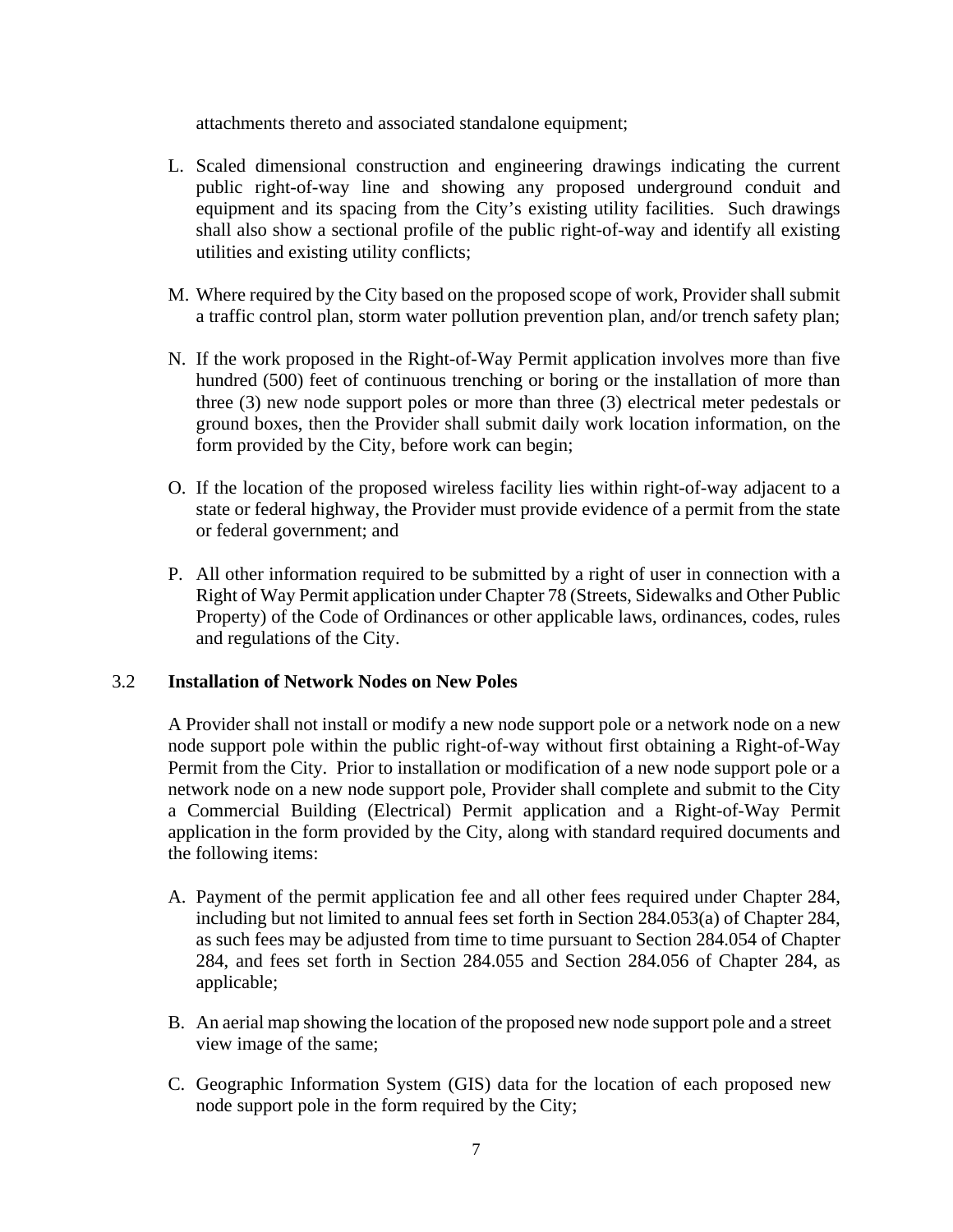attachments thereto and associated standalone equipment;

- L. Scaled dimensional construction and engineering drawings indicating the current public right-of-way line and showing any proposed underground conduit and equipment and its spacing from the City's existing utility facilities. Such drawings shall also show a sectional profile of the public right-of-way and identify all existing utilities and existing utility conflicts;
- M. Where required by the City based on the proposed scope of work, Provider shall submit a traffic control plan, storm water pollution prevention plan, and/or trench safety plan;
- N. If the work proposed in the Right-of-Way Permit application involves more than five hundred (500) feet of continuous trenching or boring or the installation of more than three (3) new node support poles or more than three (3) electrical meter pedestals or ground boxes, then the Provider shall submit daily work location information, on the form provided by the City, before work can begin;
- O. If the location of the proposed wireless facility lies within right-of-way adjacent to a state or federal highway, the Provider must provide evidence of a permit from the state or federal government; and
- P. All other information required to be submitted by a right of user in connection with a Right of Way Permit application under Chapter 78 (Streets, Sidewalks and Other Public Property) of the Code of Ordinances or other applicable laws, ordinances, codes, rules and regulations of the City.

### 3.2 **Installation of Network Nodes on New Poles**

A Provider shall not install or modify a new node support pole or a network node on a new node support pole within the public right-of-way without first obtaining a Right-of-Way Permit from the City. Prior to installation or modification of a new node support pole or a network node on a new node support pole, Provider shall complete and submit to the City a Commercial Building (Electrical) Permit application and a Right-of-Way Permit application in the form provided by the City, along with standard required documents and the following items:

- A. Payment of the permit application fee and all other fees required under Chapter 284, including but not limited to annual fees set forth in Section 284.053(a) of Chapter 284, as such fees may be adjusted from time to time pursuant to Section 284.054 of Chapter 284, and fees set forth in Section 284.055 and Section 284.056 of Chapter 284, as applicable;
- B. An aerial map showing the location of the proposed new node support pole and a street view image of the same;
- C. Geographic Information System (GIS) data for the location of each proposed new node support pole in the form required by the City;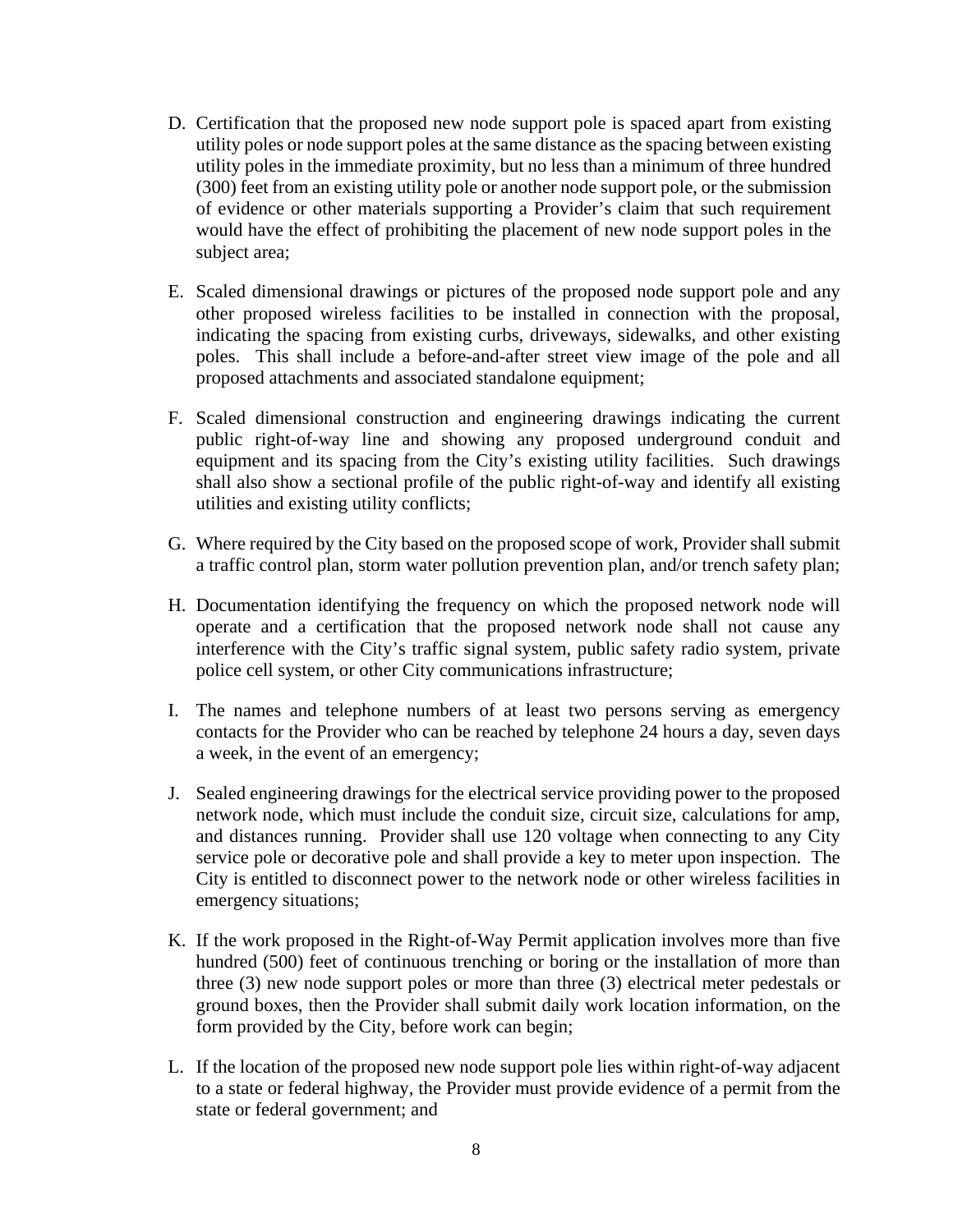- D. Certification that the proposed new node support pole is spaced apart from existing utility poles or node support poles at the same distance as the spacing between existing utility poles in the immediate proximity, but no less than a minimum of three hundred (300) feet from an existing utility pole or another node support pole, or the submission of evidence or other materials supporting a Provider's claim that such requirement would have the effect of prohibiting the placement of new node support poles in the subject area;
- E. Scaled dimensional drawings or pictures of the proposed node support pole and any other proposed wireless facilities to be installed in connection with the proposal, indicating the spacing from existing curbs, driveways, sidewalks, and other existing poles. This shall include a before-and-after street view image of the pole and all proposed attachments and associated standalone equipment;
- F. Scaled dimensional construction and engineering drawings indicating the current public right-of-way line and showing any proposed underground conduit and equipment and its spacing from the City's existing utility facilities. Such drawings shall also show a sectional profile of the public right-of-way and identify all existing utilities and existing utility conflicts;
- G. Where required by the City based on the proposed scope of work, Provider shall submit a traffic control plan, storm water pollution prevention plan, and/or trench safety plan;
- H. Documentation identifying the frequency on which the proposed network node will operate and a certification that the proposed network node shall not cause any interference with the City's traffic signal system, public safety radio system, private police cell system, or other City communications infrastructure;
- I. The names and telephone numbers of at least two persons serving as emergency contacts for the Provider who can be reached by telephone 24 hours a day, seven days a week, in the event of an emergency;
- J. Sealed engineering drawings for the electrical service providing power to the proposed network node, which must include the conduit size, circuit size, calculations for amp, and distances running. Provider shall use 120 voltage when connecting to any City service pole or decorative pole and shall provide a key to meter upon inspection. The City is entitled to disconnect power to the network node or other wireless facilities in emergency situations;
- K. If the work proposed in the Right-of-Way Permit application involves more than five hundred (500) feet of continuous trenching or boring or the installation of more than three (3) new node support poles or more than three (3) electrical meter pedestals or ground boxes, then the Provider shall submit daily work location information, on the form provided by the City, before work can begin;
- L. If the location of the proposed new node support pole lies within right-of-way adjacent to a state or federal highway, the Provider must provide evidence of a permit from the state or federal government; and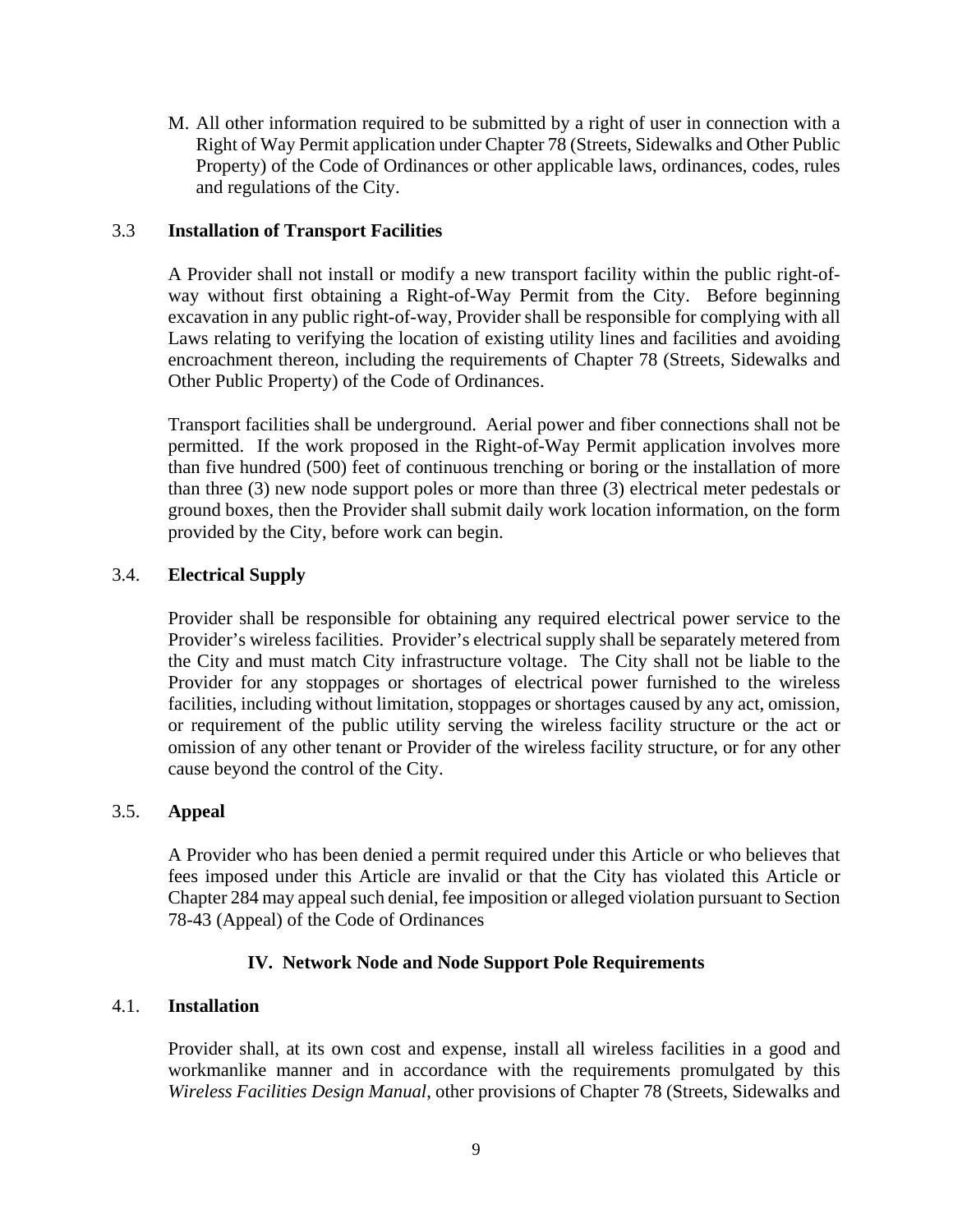M. All other information required to be submitted by a right of user in connection with a Right of Way Permit application under Chapter 78 (Streets, Sidewalks and Other Public Property) of the Code of Ordinances or other applicable laws, ordinances, codes, rules and regulations of the City.

### 3.3 **Installation of Transport Facilities**

A Provider shall not install or modify a new transport facility within the public right-ofway without first obtaining a Right-of-Way Permit from the City. Before beginning excavation in any public right-of-way, Provider shall be responsible for complying with all Laws relating to verifying the location of existing utility lines and facilities and avoiding encroachment thereon, including the requirements of Chapter 78 (Streets, Sidewalks and Other Public Property) of the Code of Ordinances.

Transport facilities shall be underground. Aerial power and fiber connections shall not be permitted. If the work proposed in the Right-of-Way Permit application involves more than five hundred (500) feet of continuous trenching or boring or the installation of more than three (3) new node support poles or more than three (3) electrical meter pedestals or ground boxes, then the Provider shall submit daily work location information, on the form provided by the City, before work can begin.

## 3.4. **Electrical Supply**

Provider shall be responsible for obtaining any required electrical power service to the Provider's wireless facilities. Provider's electrical supply shall be separately metered from the City and must match City infrastructure voltage. The City shall not be liable to the Provider for any stoppages or shortages of electrical power furnished to the wireless facilities, including without limitation, stoppages or shortages caused by any act, omission, or requirement of the public utility serving the wireless facility structure or the act or omission of any other tenant or Provider of the wireless facility structure, or for any other cause beyond the control of the City.

### 3.5. **Appeal**

A Provider who has been denied a permit required under this Article or who believes that fees imposed under this Article are invalid or that the City has violated this Article or Chapter 284 may appeal such denial, fee imposition or alleged violation pursuant to Section 78-43 (Appeal) of the Code of Ordinances

# **IV. Network Node and Node Support Pole Requirements**

### 4.1. **Installation**

Provider shall, at its own cost and expense, install all wireless facilities in a good and workmanlike manner and in accordance with the requirements promulgated by this *Wireless Facilities Design Manual*, other provisions of Chapter 78 (Streets, Sidewalks and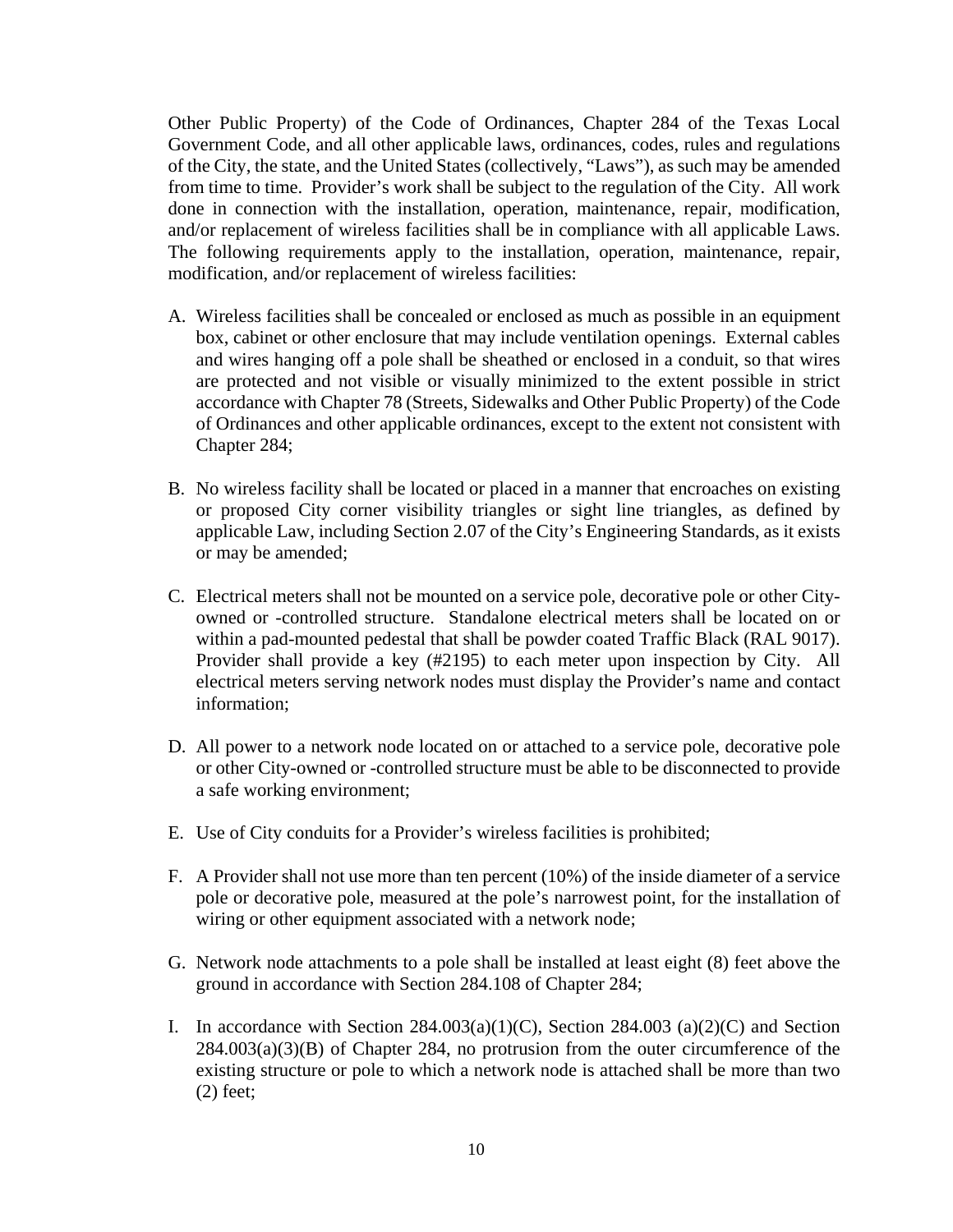Other Public Property) of the Code of Ordinances, Chapter 284 of the Texas Local Government Code, and all other applicable laws, ordinances, codes, rules and regulations of the City, the state, and the United States (collectively, "Laws"), as such may be amended from time to time. Provider's work shall be subject to the regulation of the City. All work done in connection with the installation, operation, maintenance, repair, modification, and/or replacement of wireless facilities shall be in compliance with all applicable Laws. The following requirements apply to the installation, operation, maintenance, repair, modification, and/or replacement of wireless facilities:

- A. Wireless facilities shall be concealed or enclosed as much as possible in an equipment box, cabinet or other enclosure that may include ventilation openings. External cables and wires hanging off a pole shall be sheathed or enclosed in a conduit, so that wires are protected and not visible or visually minimized to the extent possible in strict accordance with Chapter 78 (Streets, Sidewalks and Other Public Property) of the Code of Ordinances and other applicable ordinances, except to the extent not consistent with Chapter 284;
- B. No wireless facility shall be located or placed in a manner that encroaches on existing or proposed City corner visibility triangles or sight line triangles, as defined by applicable Law, including Section 2.07 of the City's Engineering Standards, as it exists or may be amended;
- C. Electrical meters shall not be mounted on a service pole, decorative pole or other Cityowned or -controlled structure. Standalone electrical meters shall be located on or within a pad-mounted pedestal that shall be powder coated Traffic Black (RAL 9017). Provider shall provide a key (#2195) to each meter upon inspection by City. All electrical meters serving network nodes must display the Provider's name and contact information;
- D. All power to a network node located on or attached to a service pole, decorative pole or other City-owned or -controlled structure must be able to be disconnected to provide a safe working environment;
- E. Use of City conduits for a Provider's wireless facilities is prohibited;
- F. A Provider shall not use more than ten percent (10%) of the inside diameter of a service pole or decorative pole, measured at the pole's narrowest point, for the installation of wiring or other equipment associated with a network node;
- G. Network node attachments to a pole shall be installed at least eight (8) feet above the ground in accordance with Section 284.108 of Chapter 284;
- I. In accordance with Section  $284.003(a)(1)(C)$ , Section  $284.003(a)(2)(C)$  and Section  $284.003(a)(3)(B)$  of Chapter 284, no protrusion from the outer circumference of the existing structure or pole to which a network node is attached shall be more than two (2) feet;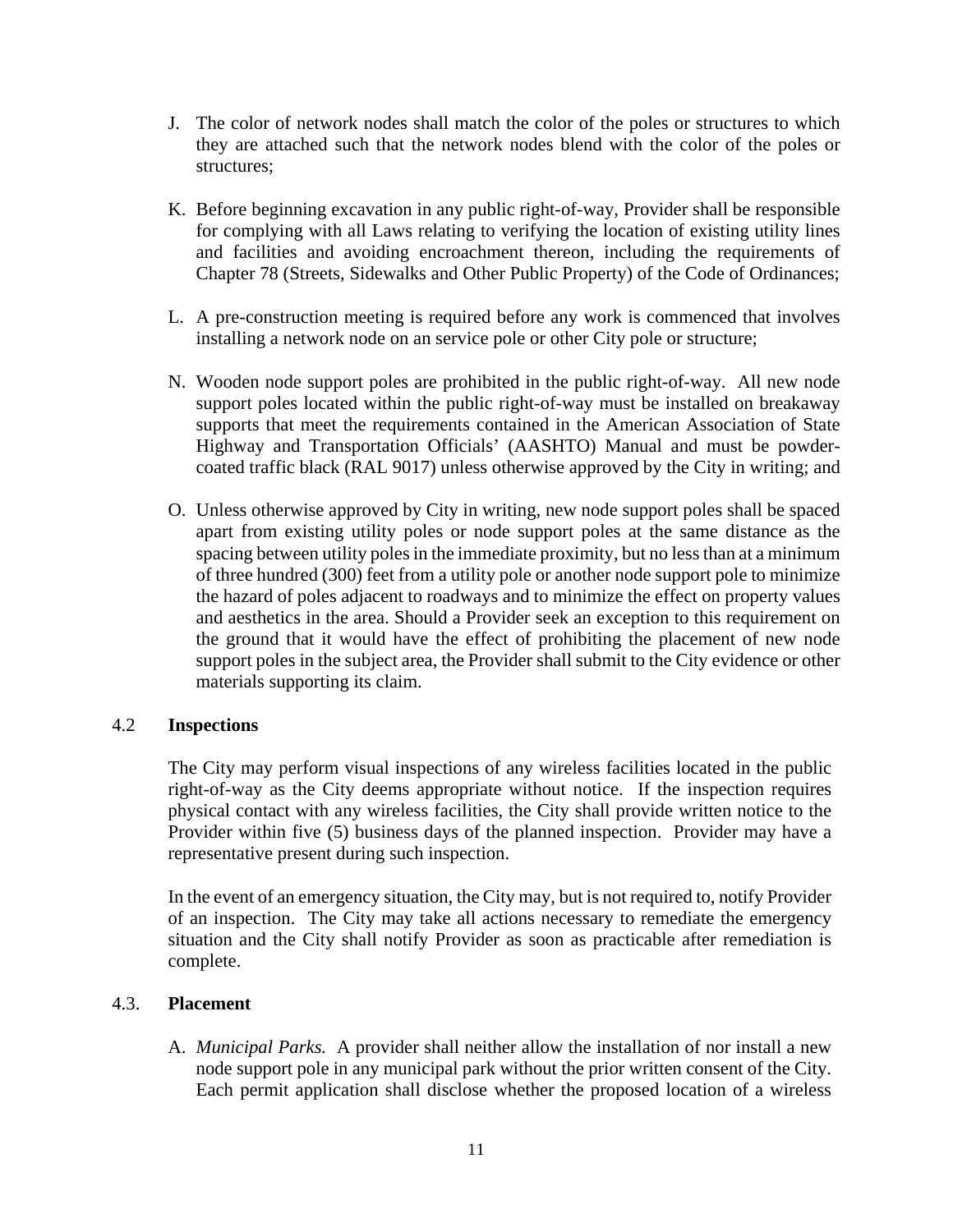- J. The color of network nodes shall match the color of the poles or structures to which they are attached such that the network nodes blend with the color of the poles or structures;
- K. Before beginning excavation in any public right-of-way, Provider shall be responsible for complying with all Laws relating to verifying the location of existing utility lines and facilities and avoiding encroachment thereon, including the requirements of Chapter 78 (Streets, Sidewalks and Other Public Property) of the Code of Ordinances;
- L. A pre-construction meeting is required before any work is commenced that involves installing a network node on an service pole or other City pole or structure;
- N. Wooden node support poles are prohibited in the public right-of-way. All new node support poles located within the public right-of-way must be installed on breakaway supports that meet the requirements contained in the American Association of State Highway and Transportation Officials' (AASHTO) Manual and must be powdercoated traffic black (RAL 9017) unless otherwise approved by the City in writing; and
- O. Unless otherwise approved by City in writing, new node support poles shall be spaced apart from existing utility poles or node support poles at the same distance as the spacing between utility poles in the immediate proximity, but no less than at a minimum of three hundred (300) feet from a utility pole or another node support pole to minimize the hazard of poles adjacent to roadways and to minimize the effect on property values and aesthetics in the area. Should a Provider seek an exception to this requirement on the ground that it would have the effect of prohibiting the placement of new node support poles in the subject area, the Provider shall submit to the City evidence or other materials supporting its claim.

### 4.2 **Inspections**

The City may perform visual inspections of any wireless facilities located in the public right-of-way as the City deems appropriate without notice. If the inspection requires physical contact with any wireless facilities, the City shall provide written notice to the Provider within five (5) business days of the planned inspection. Provider may have a representative present during such inspection.

In the event of an emergency situation, the City may, but is not required to, notify Provider of an inspection. The City may take all actions necessary to remediate the emergency situation and the City shall notify Provider as soon as practicable after remediation is complete.

#### 4.3. **Placement**

A. *Municipal Parks.* A provider shall neither allow the installation of nor install a new node support pole in any municipal park without the prior written consent of the City. Each permit application shall disclose whether the proposed location of a wireless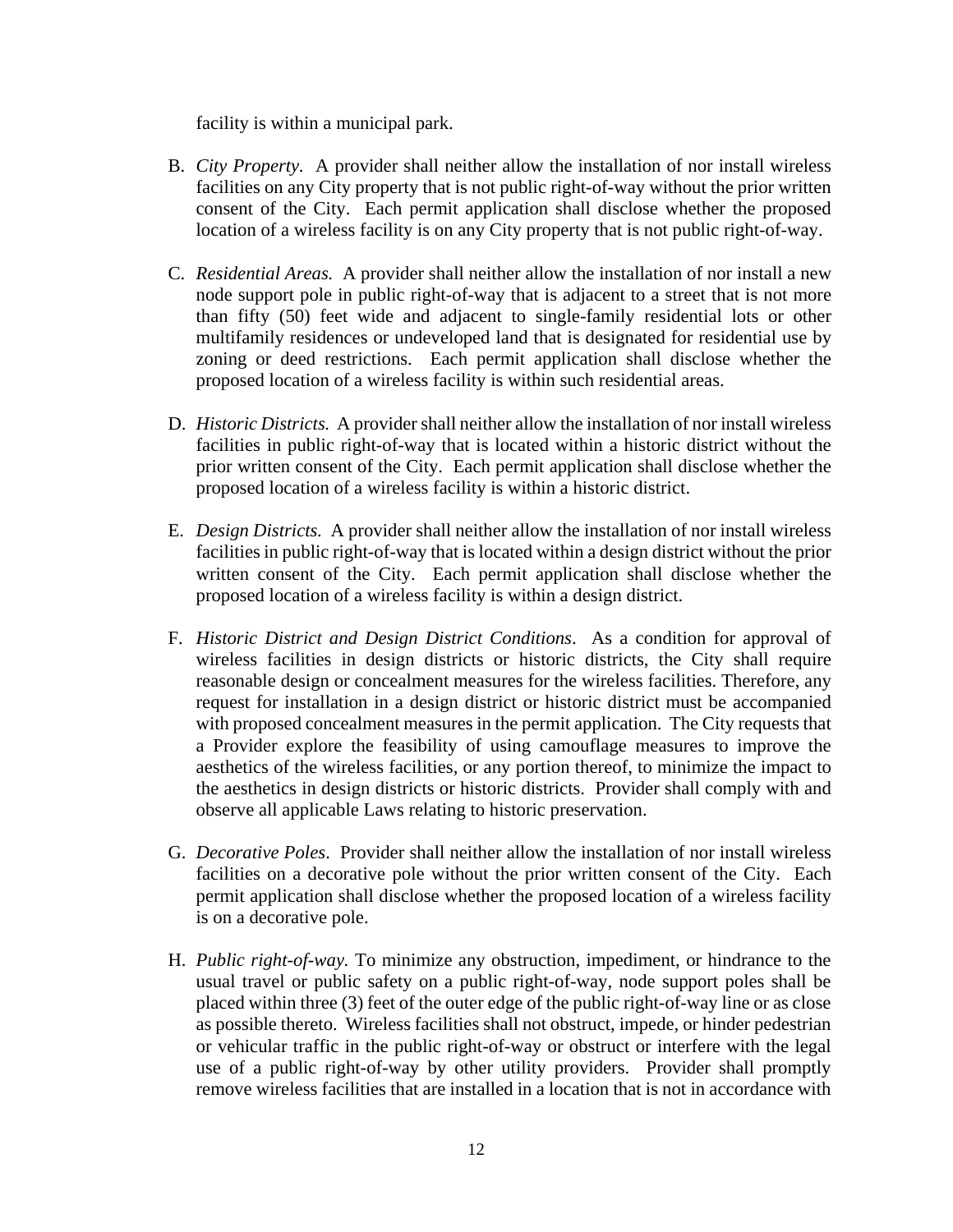facility is within a municipal park.

- B. *City Property.* A provider shall neither allow the installation of nor install wireless facilities on any City property that is not public right-of-way without the prior written consent of the City. Each permit application shall disclose whether the proposed location of a wireless facility is on any City property that is not public right-of-way.
- C. *Residential Areas.* A provider shall neither allow the installation of nor install a new node support pole in public right-of-way that is adjacent to a street that is not more than fifty (50) feet wide and adjacent to single-family residential lots or other multifamily residences or undeveloped land that is designated for residential use by zoning or deed restrictions. Each permit application shall disclose whether the proposed location of a wireless facility is within such residential areas.
- D. *Historic Districts.* A provider shall neither allow the installation of nor install wireless facilities in public right-of-way that is located within a historic district without the prior written consent of the City. Each permit application shall disclose whether the proposed location of a wireless facility is within a historic district.
- E. *Design Districts.* A provider shall neither allow the installation of nor install wireless facilities in public right-of-way that is located within a design district without the prior written consent of the City. Each permit application shall disclose whether the proposed location of a wireless facility is within a design district.
- F. *Historic District and Design District Conditions*. As a condition for approval of wireless facilities in design districts or historic districts, the City shall require reasonable design or concealment measures for the wireless facilities. Therefore, any request for installation in a design district or historic district must be accompanied with proposed concealment measures in the permit application. The City requests that a Provider explore the feasibility of using camouflage measures to improve the aesthetics of the wireless facilities, or any portion thereof, to minimize the impact to the aesthetics in design districts or historic districts. Provider shall comply with and observe all applicable Laws relating to historic preservation.
- G. *Decorative Poles*. Provider shall neither allow the installation of nor install wireless facilities on a decorative pole without the prior written consent of the City. Each permit application shall disclose whether the proposed location of a wireless facility is on a decorative pole.
- H. *Public right-of-way.* To minimize any obstruction, impediment, or hindrance to the usual travel or public safety on a public right-of-way, node support poles shall be placed within three (3) feet of the outer edge of the public right-of-way line or as close as possible thereto. Wireless facilities shall not obstruct, impede, or hinder pedestrian or vehicular traffic in the public right-of-way or obstruct or interfere with the legal use of a public right-of-way by other utility providers. Provider shall promptly remove wireless facilities that are installed in a location that is not in accordance with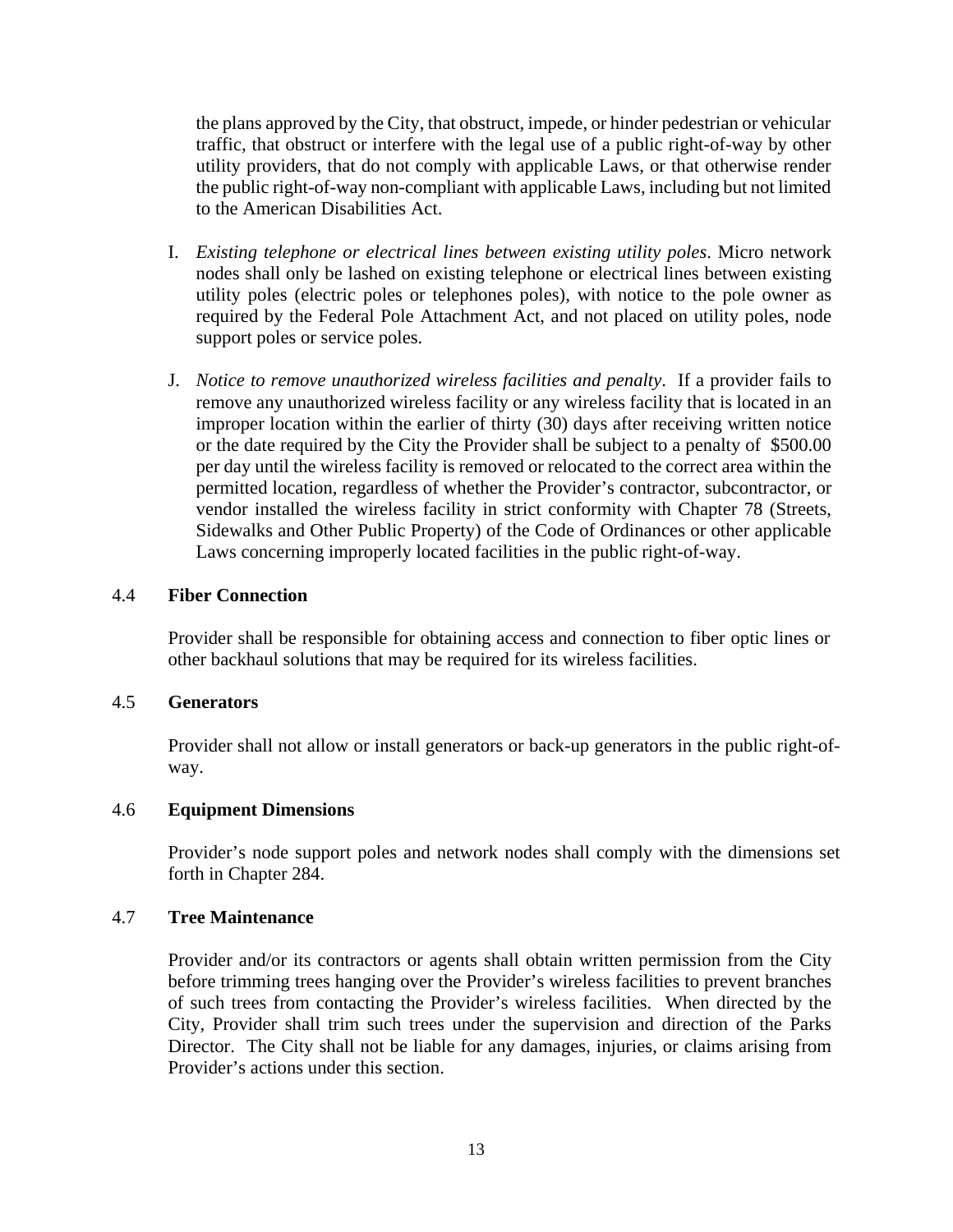the plans approved by the City, that obstruct, impede, or hinder pedestrian or vehicular traffic, that obstruct or interfere with the legal use of a public right-of-way by other utility providers, that do not comply with applicable Laws, or that otherwise render the public right-of-way non-compliant with applicable Laws, including but not limited to the American Disabilities Act.

- I. *Existing telephone or electrical lines between existing utility poles*. Micro network nodes shall only be lashed on existing telephone or electrical lines between existing utility poles (electric poles or telephones poles), with notice to the pole owner as required by the Federal Pole Attachment Act, and not placed on utility poles, node support poles or service poles.
- J. *Notice to remove unauthorized wireless facilities and penalty*. If a provider fails to remove any unauthorized wireless facility or any wireless facility that is located in an improper location within the earlier of thirty (30) days after receiving written notice or the date required by the City the Provider shall be subject to a penalty of \$500.00 per day until the wireless facility is removed or relocated to the correct area within the permitted location, regardless of whether the Provider's contractor, subcontractor, or vendor installed the wireless facility in strict conformity with Chapter 78 (Streets, Sidewalks and Other Public Property) of the Code of Ordinances or other applicable Laws concerning improperly located facilities in the public right-of-way.

### 4.4 **Fiber Connection**

Provider shall be responsible for obtaining access and connection to fiber optic lines or other backhaul solutions that may be required for its wireless facilities.

### 4.5 **Generators**

Provider shall not allow or install generators or back-up generators in the public right-ofway.

#### 4.6 **Equipment Dimensions**

Provider's node support poles and network nodes shall comply with the dimensions set forth in Chapter 284.

#### 4.7 **Tree Maintenance**

Provider and/or its contractors or agents shall obtain written permission from the City before trimming trees hanging over the Provider's wireless facilities to prevent branches of such trees from contacting the Provider's wireless facilities. When directed by the City, Provider shall trim such trees under the supervision and direction of the Parks Director. The City shall not be liable for any damages, injuries, or claims arising from Provider's actions under this section.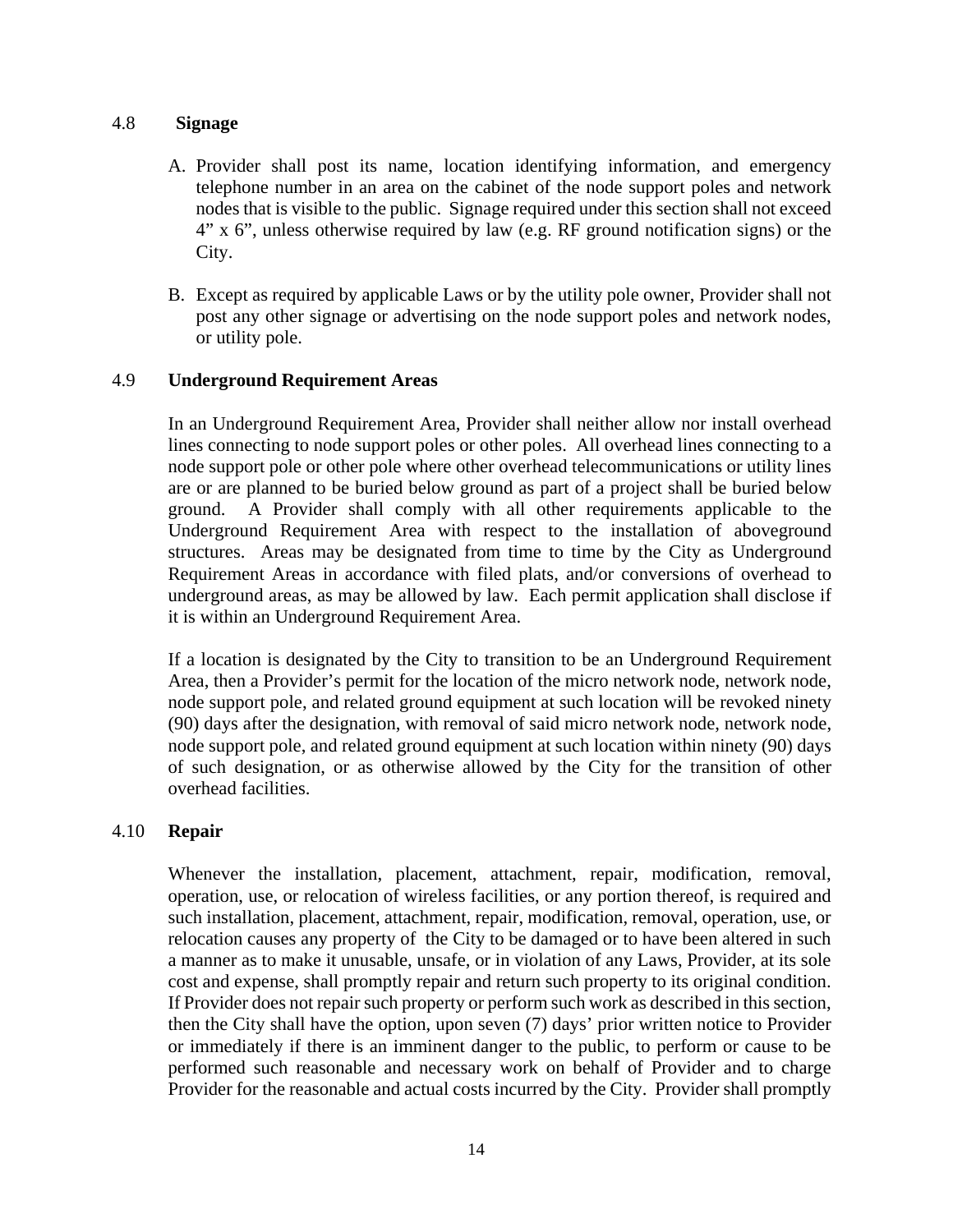### 4.8 **Signage**

- A. Provider shall post its name, location identifying information, and emergency telephone number in an area on the cabinet of the node support poles and network nodes that is visible to the public. Signage required under this section shall not exceed 4" x 6", unless otherwise required by law (e.g. RF ground notification signs) or the City.
- B. Except as required by applicable Laws or by the utility pole owner, Provider shall not post any other signage or advertising on the node support poles and network nodes, or utility pole.

# 4.9 **Underground Requirement Areas**

In an Underground Requirement Area, Provider shall neither allow nor install overhead lines connecting to node support poles or other poles. All overhead lines connecting to a node support pole or other pole where other overhead telecommunications or utility lines are or are planned to be buried below ground as part of a project shall be buried below ground. A Provider shall comply with all other requirements applicable to the Underground Requirement Area with respect to the installation of aboveground structures. Areas may be designated from time to time by the City as Underground Requirement Areas in accordance with filed plats, and/or conversions of overhead to underground areas, as may be allowed by law. Each permit application shall disclose if it is within an Underground Requirement Area.

If a location is designated by the City to transition to be an Underground Requirement Area, then a Provider's permit for the location of the micro network node, network node, node support pole, and related ground equipment at such location will be revoked ninety (90) days after the designation, with removal of said micro network node, network node, node support pole, and related ground equipment at such location within ninety (90) days of such designation, or as otherwise allowed by the City for the transition of other overhead facilities.

### 4.10 **Repair**

Whenever the installation, placement, attachment, repair, modification, removal, operation, use, or relocation of wireless facilities, or any portion thereof, is required and such installation, placement, attachment, repair, modification, removal, operation, use, or relocation causes any property of the City to be damaged or to have been altered in such a manner as to make it unusable, unsafe, or in violation of any Laws, Provider, at its sole cost and expense, shall promptly repair and return such property to its original condition. If Provider does not repair such property or perform such work as described in this section, then the City shall have the option, upon seven (7) days' prior written notice to Provider or immediately if there is an imminent danger to the public, to perform or cause to be performed such reasonable and necessary work on behalf of Provider and to charge Provider for the reasonable and actual costs incurred by the City. Provider shall promptly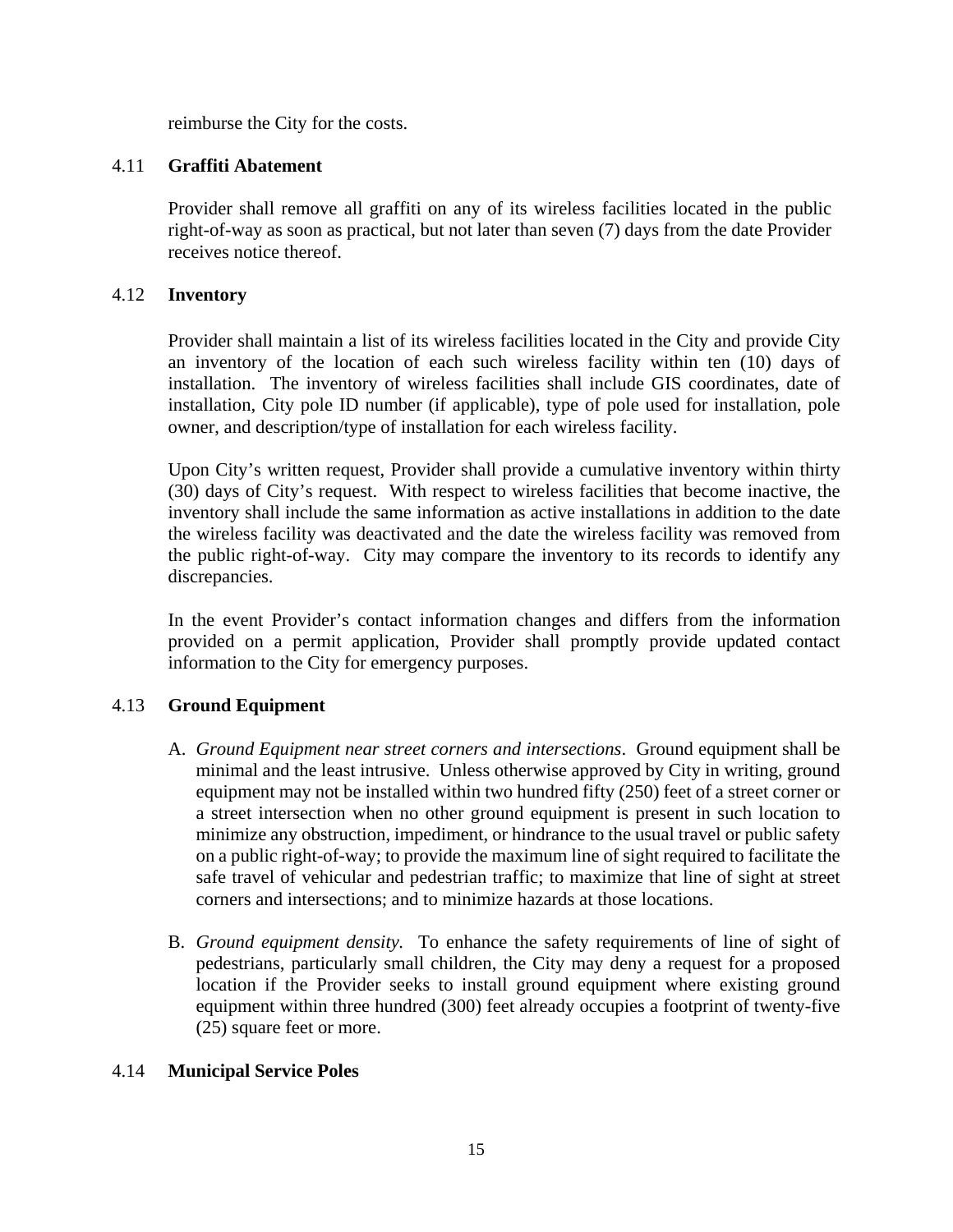reimburse the City for the costs.

# 4.11 **Graffiti Abatement**

Provider shall remove all graffiti on any of its wireless facilities located in the public right-of-way as soon as practical, but not later than seven (7) days from the date Provider receives notice thereof.

## 4.12 **Inventory**

Provider shall maintain a list of its wireless facilities located in the City and provide City an inventory of the location of each such wireless facility within ten (10) days of installation. The inventory of wireless facilities shall include GIS coordinates, date of installation, City pole ID number (if applicable), type of pole used for installation, pole owner, and description/type of installation for each wireless facility.

Upon City's written request, Provider shall provide a cumulative inventory within thirty (30) days of City's request. With respect to wireless facilities that become inactive, the inventory shall include the same information as active installations in addition to the date the wireless facility was deactivated and the date the wireless facility was removed from the public right-of-way. City may compare the inventory to its records to identify any discrepancies.

In the event Provider's contact information changes and differs from the information provided on a permit application, Provider shall promptly provide updated contact information to the City for emergency purposes.

# 4.13 **Ground Equipment**

- A. *Ground Equipment near street corners and intersections*. Ground equipment shall be minimal and the least intrusive. Unless otherwise approved by City in writing, ground equipment may not be installed within two hundred fifty (250) feet of a street corner or a street intersection when no other ground equipment is present in such location to minimize any obstruction, impediment, or hindrance to the usual travel or public safety on a public right-of-way; to provide the maximum line of sight required to facilitate the safe travel of vehicular and pedestrian traffic; to maximize that line of sight at street corners and intersections; and to minimize hazards at those locations.
- B. *Ground equipment density.* To enhance the safety requirements of line of sight of pedestrians, particularly small children, the City may deny a request for a proposed location if the Provider seeks to install ground equipment where existing ground equipment within three hundred (300) feet already occupies a footprint of twenty-five (25) square feet or more.

### 4.14 **Municipal Service Poles**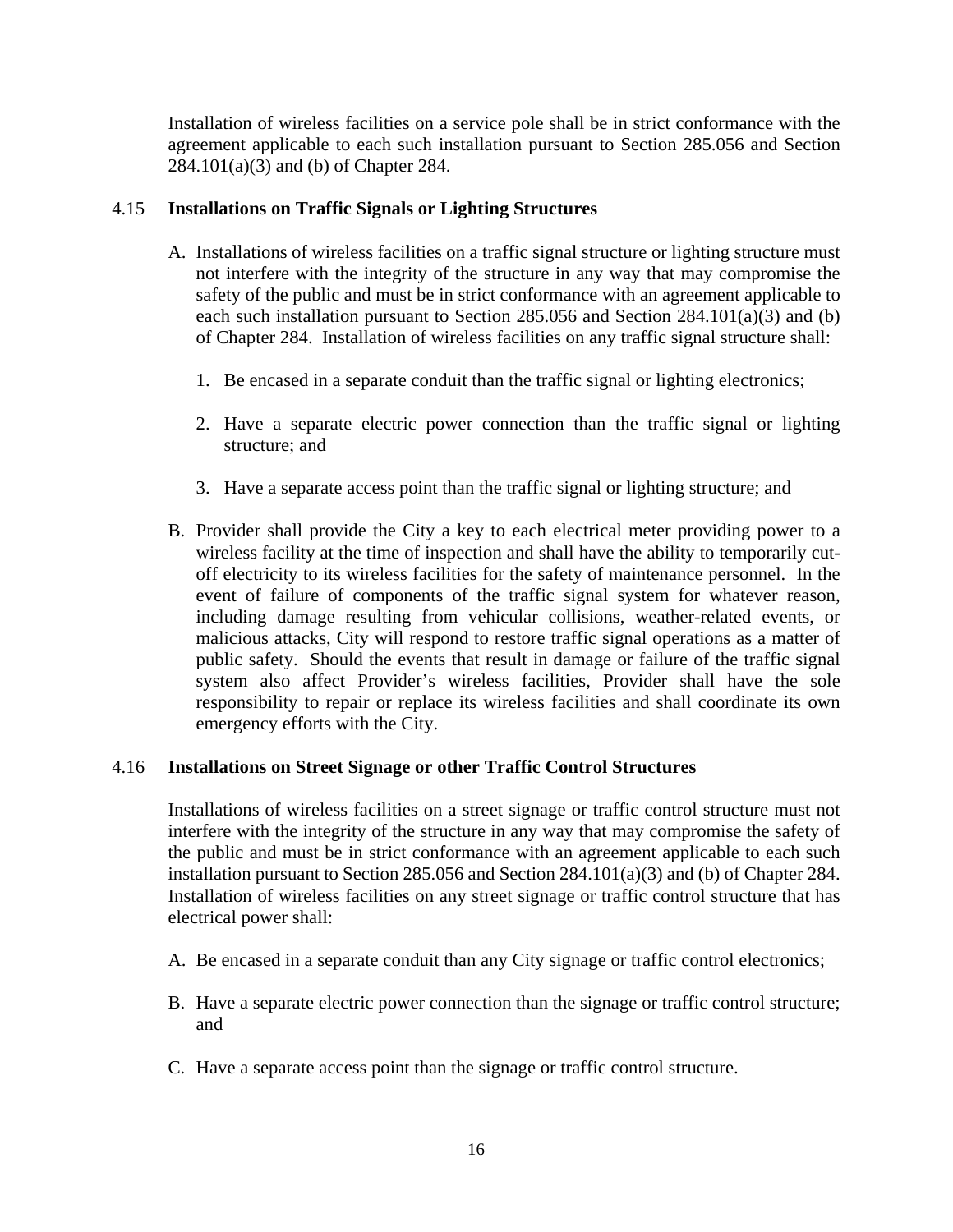Installation of wireless facilities on a service pole shall be in strict conformance with the agreement applicable to each such installation pursuant to Section 285.056 and Section 284.101(a)(3) and (b) of Chapter 284.

### 4.15 **Installations on Traffic Signals or Lighting Structures**

- A. Installations of wireless facilities on a traffic signal structure or lighting structure must not interfere with the integrity of the structure in any way that may compromise the safety of the public and must be in strict conformance with an agreement applicable to each such installation pursuant to Section 285.056 and Section 284.101(a)(3) and (b) of Chapter 284. Installation of wireless facilities on any traffic signal structure shall:
	- 1. Be encased in a separate conduit than the traffic signal or lighting electronics;
	- 2. Have a separate electric power connection than the traffic signal or lighting structure; and
	- 3. Have a separate access point than the traffic signal or lighting structure; and
- B. Provider shall provide the City a key to each electrical meter providing power to a wireless facility at the time of inspection and shall have the ability to temporarily cutoff electricity to its wireless facilities for the safety of maintenance personnel. In the event of failure of components of the traffic signal system for whatever reason, including damage resulting from vehicular collisions, weather-related events, or malicious attacks, City will respond to restore traffic signal operations as a matter of public safety. Should the events that result in damage or failure of the traffic signal system also affect Provider's wireless facilities, Provider shall have the sole responsibility to repair or replace its wireless facilities and shall coordinate its own emergency efforts with the City.

### 4.16 **Installations on Street Signage or other Traffic Control Structures**

Installations of wireless facilities on a street signage or traffic control structure must not interfere with the integrity of the structure in any way that may compromise the safety of the public and must be in strict conformance with an agreement applicable to each such installation pursuant to Section 285.056 and Section 284.101(a)(3) and (b) of Chapter 284. Installation of wireless facilities on any street signage or traffic control structure that has electrical power shall:

- A. Be encased in a separate conduit than any City signage or traffic control electronics;
- B. Have a separate electric power connection than the signage or traffic control structure; and
- C. Have a separate access point than the signage or traffic control structure.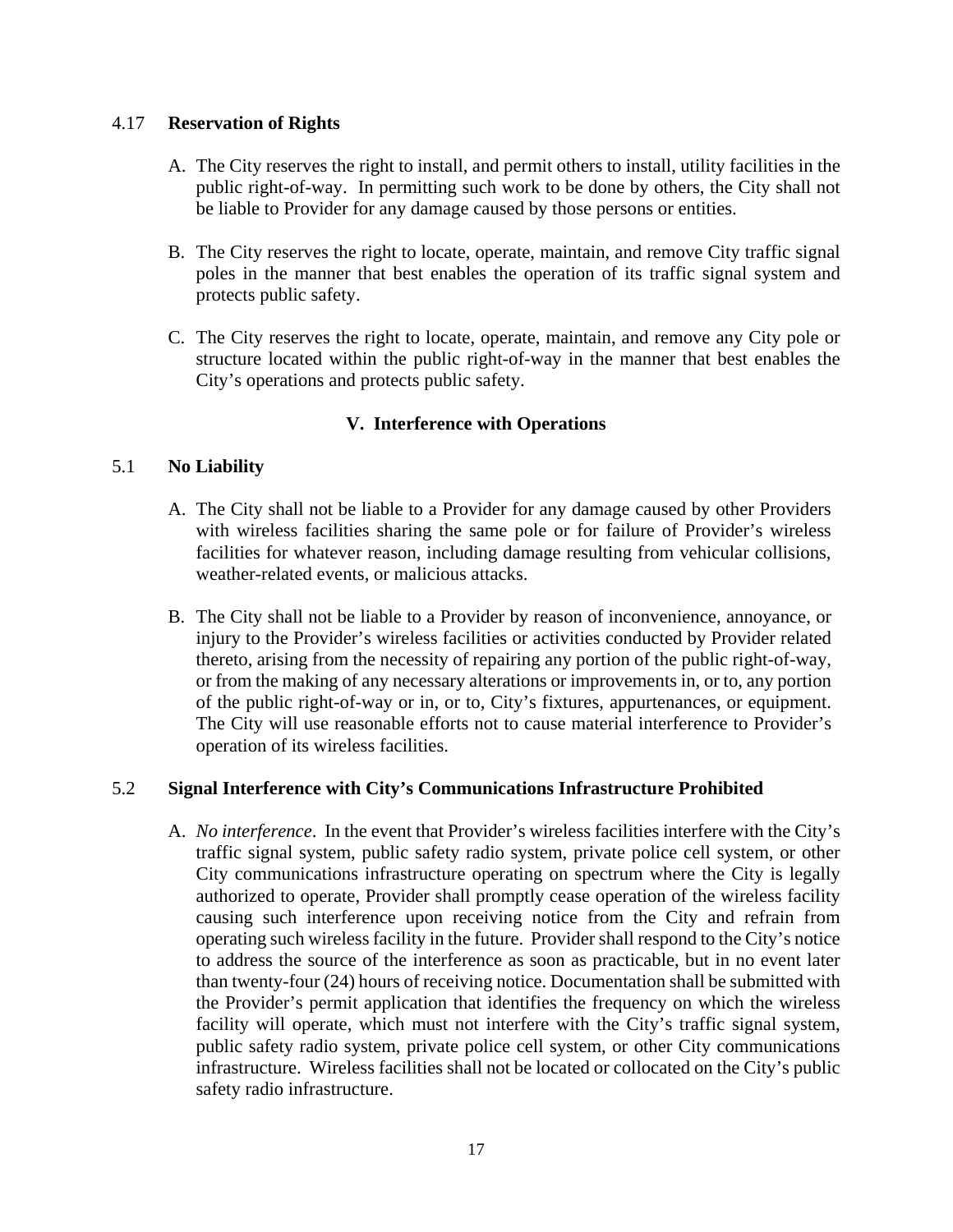## 4.17 **Reservation of Rights**

- A. The City reserves the right to install, and permit others to install, utility facilities in the public right-of-way. In permitting such work to be done by others, the City shall not be liable to Provider for any damage caused by those persons or entities.
- B. The City reserves the right to locate, operate, maintain, and remove City traffic signal poles in the manner that best enables the operation of its traffic signal system and protects public safety.
- C. The City reserves the right to locate, operate, maintain, and remove any City pole or structure located within the public right-of-way in the manner that best enables the City's operations and protects public safety.

# **V. Interference with Operations**

# 5.1 **No Liability**

- A. The City shall not be liable to a Provider for any damage caused by other Providers with wireless facilities sharing the same pole or for failure of Provider's wireless facilities for whatever reason, including damage resulting from vehicular collisions, weather-related events, or malicious attacks.
- B. The City shall not be liable to a Provider by reason of inconvenience, annoyance, or injury to the Provider's wireless facilities or activities conducted by Provider related thereto, arising from the necessity of repairing any portion of the public right-of-way, or from the making of any necessary alterations or improvements in, or to, any portion of the public right-of-way or in, or to, City's fixtures, appurtenances, or equipment. The City will use reasonable efforts not to cause material interference to Provider's operation of its wireless facilities.

### 5.2 **Signal Interference with City's Communications Infrastructure Prohibited**

A. *No interference*. In the event that Provider's wireless facilities interfere with the City's traffic signal system, public safety radio system, private police cell system, or other City communications infrastructure operating on spectrum where the City is legally authorized to operate, Provider shall promptly cease operation of the wireless facility causing such interference upon receiving notice from the City and refrain from operating such wireless facility in the future. Provider shall respond to the City's notice to address the source of the interference as soon as practicable, but in no event later than twenty-four (24) hours of receiving notice. Documentation shall be submitted with the Provider's permit application that identifies the frequency on which the wireless facility will operate, which must not interfere with the City's traffic signal system, public safety radio system, private police cell system, or other City communications infrastructure. Wireless facilities shall not be located or collocated on the City's public safety radio infrastructure.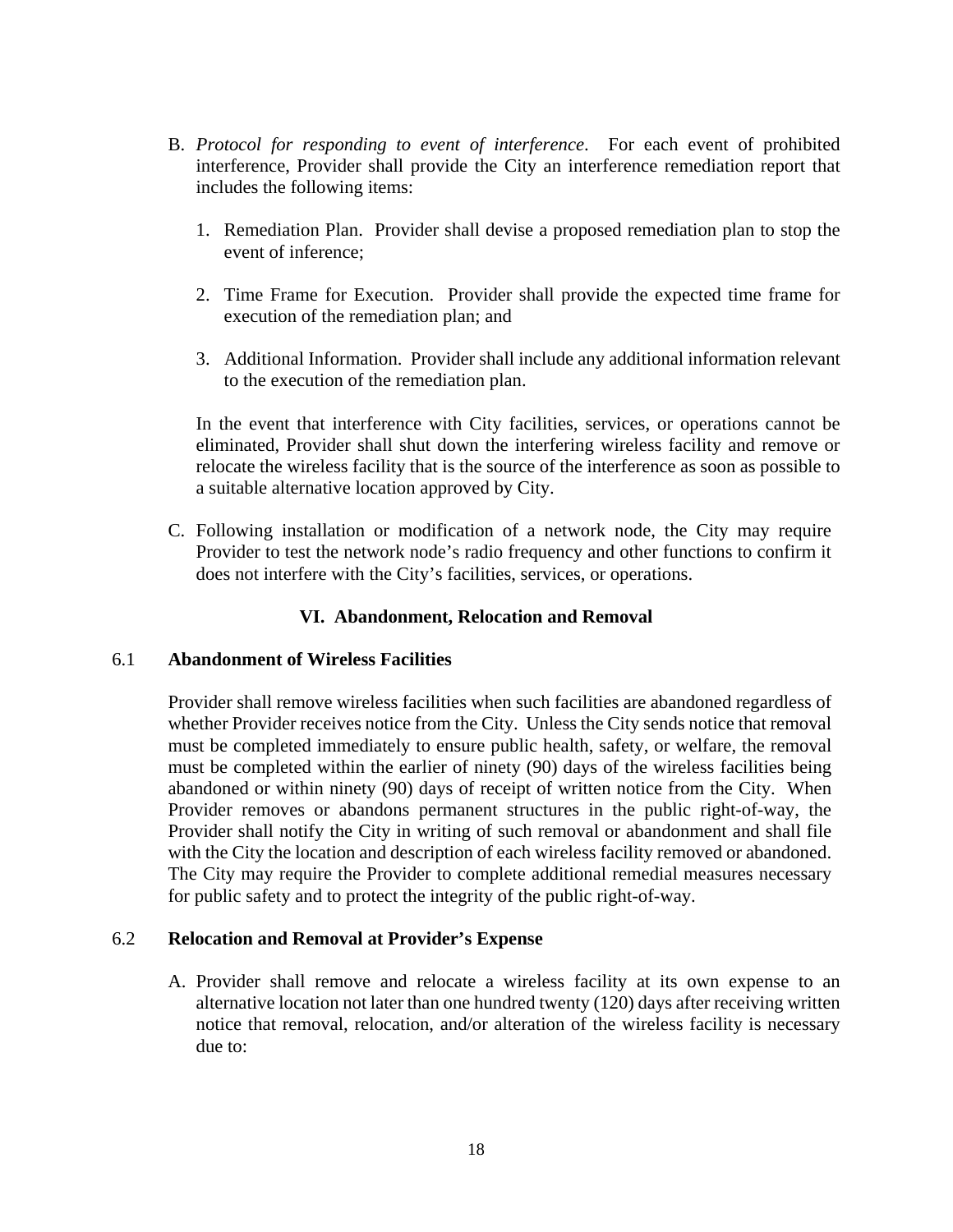- B. *Protocol for responding to event of interference*. For each event of prohibited interference, Provider shall provide the City an interference remediation report that includes the following items:
	- 1. Remediation Plan. Provider shall devise a proposed remediation plan to stop the event of inference;
	- 2. Time Frame for Execution. Provider shall provide the expected time frame for execution of the remediation plan; and
	- 3. Additional Information. Provider shall include any additional information relevant to the execution of the remediation plan.

In the event that interference with City facilities, services, or operations cannot be eliminated, Provider shall shut down the interfering wireless facility and remove or relocate the wireless facility that is the source of the interference as soon as possible to a suitable alternative location approved by City.

C. Following installation or modification of a network node, the City may require Provider to test the network node's radio frequency and other functions to confirm it does not interfere with the City's facilities, services, or operations.

# **VI. Abandonment, Relocation and Removal**

## 6.1 **Abandonment of Wireless Facilities**

Provider shall remove wireless facilities when such facilities are abandoned regardless of whether Provider receives notice from the City. Unless the City sends notice that removal must be completed immediately to ensure public health, safety, or welfare, the removal must be completed within the earlier of ninety (90) days of the wireless facilities being abandoned or within ninety (90) days of receipt of written notice from the City. When Provider removes or abandons permanent structures in the public right-of-way, the Provider shall notify the City in writing of such removal or abandonment and shall file with the City the location and description of each wireless facility removed or abandoned. The City may require the Provider to complete additional remedial measures necessary for public safety and to protect the integrity of the public right-of-way.

### 6.2 **Relocation and Removal at Provider's Expense**

A. Provider shall remove and relocate a wireless facility at its own expense to an alternative location not later than one hundred twenty (120) days after receiving written notice that removal, relocation, and/or alteration of the wireless facility is necessary due to: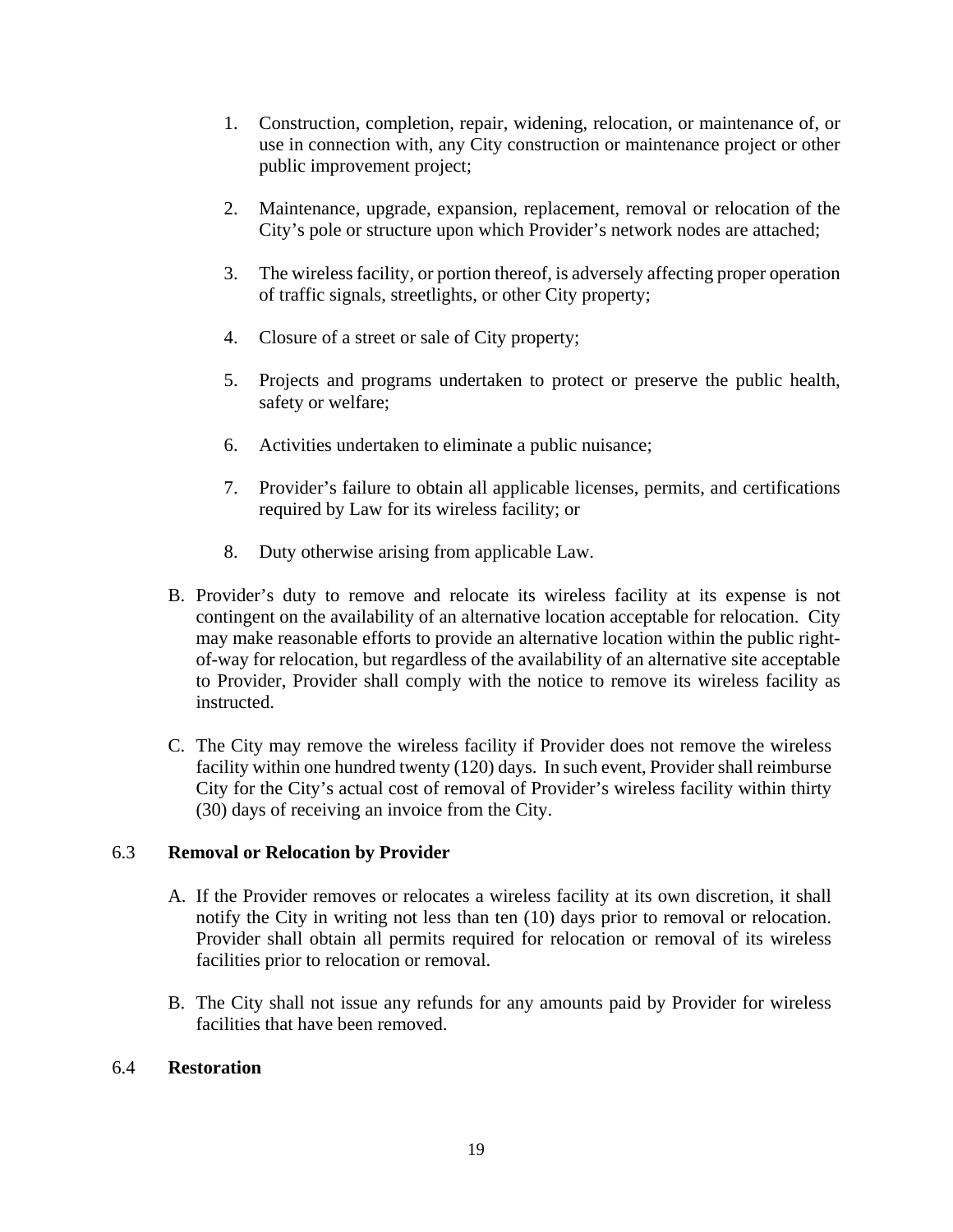- 1. Construction, completion, repair, widening, relocation, or maintenance of, or use in connection with, any City construction or maintenance project or other public improvement project;
- 2. Maintenance, upgrade, expansion, replacement, removal or relocation of the City's pole or structure upon which Provider's network nodes are attached;
- 3. The wireless facility, or portion thereof, is adversely affecting proper operation of traffic signals, streetlights, or other City property;
- 4. Closure of a street or sale of City property;
- 5. Projects and programs undertaken to protect or preserve the public health, safety or welfare;
- 6. Activities undertaken to eliminate a public nuisance;
- 7. Provider's failure to obtain all applicable licenses, permits, and certifications required by Law for its wireless facility; or
- 8. Duty otherwise arising from applicable Law.
- B. Provider's duty to remove and relocate its wireless facility at its expense is not contingent on the availability of an alternative location acceptable for relocation. City may make reasonable efforts to provide an alternative location within the public rightof-way for relocation, but regardless of the availability of an alternative site acceptable to Provider, Provider shall comply with the notice to remove its wireless facility as instructed.
- C. The City may remove the wireless facility if Provider does not remove the wireless facility within one hundred twenty (120) days. In such event, Provider shall reimburse City for the City's actual cost of removal of Provider's wireless facility within thirty (30) days of receiving an invoice from the City.

# 6.3 **Removal or Relocation by Provider**

- A. If the Provider removes or relocates a wireless facility at its own discretion, it shall notify the City in writing not less than ten (10) days prior to removal or relocation. Provider shall obtain all permits required for relocation or removal of its wireless facilities prior to relocation or removal.
- B. The City shall not issue any refunds for any amounts paid by Provider for wireless facilities that have been removed.

# 6.4 **Restoration**